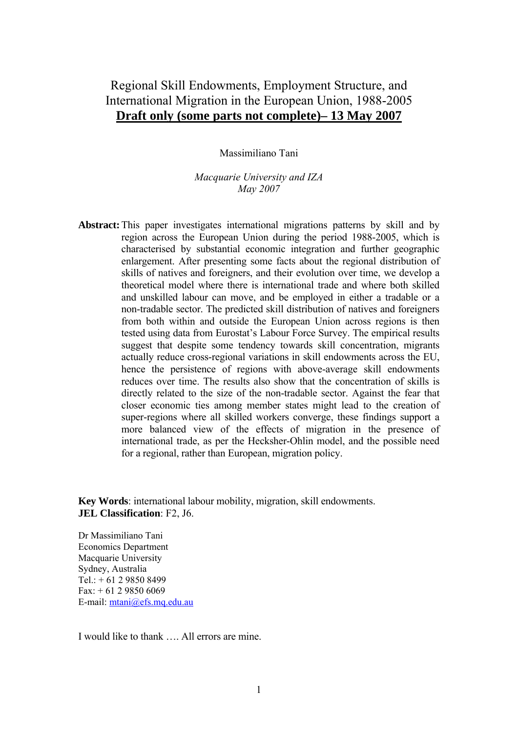# Regional Skill Endowments, Employment Structure, and International Migration in the European Union, 1988-2005 **Draft only (some parts not complete)– 13 May 2007**

Massimiliano Tani

*Macquarie University and IZA May 2007* 

**Abstract:** This paper investigates international migrations patterns by skill and by region across the European Union during the period 1988-2005, which is characterised by substantial economic integration and further geographic enlargement. After presenting some facts about the regional distribution of skills of natives and foreigners, and their evolution over time, we develop a theoretical model where there is international trade and where both skilled and unskilled labour can move, and be employed in either a tradable or a non-tradable sector. The predicted skill distribution of natives and foreigners from both within and outside the European Union across regions is then tested using data from Eurostat's Labour Force Survey. The empirical results suggest that despite some tendency towards skill concentration, migrants actually reduce cross-regional variations in skill endowments across the EU, hence the persistence of regions with above-average skill endowments reduces over time. The results also show that the concentration of skills is directly related to the size of the non-tradable sector. Against the fear that closer economic ties among member states might lead to the creation of super-regions where all skilled workers converge, these findings support a more balanced view of the effects of migration in the presence of international trade, as per the Hecksher-Ohlin model, and the possible need for a regional, rather than European, migration policy.

**Key Words**: international labour mobility, migration, skill endowments. **JEL Classification**: F2, J6.

Dr Massimiliano Tani Economics Department Macquarie University Sydney, Australia  $Tel: + 61 2 9850 8499$ Fax: + 61 2 9850 6069 E-mail: [mtani@efs.mq.edu.au](mailto:mtani@efs.mq.edu.au)

I would like to thank …. All errors are mine.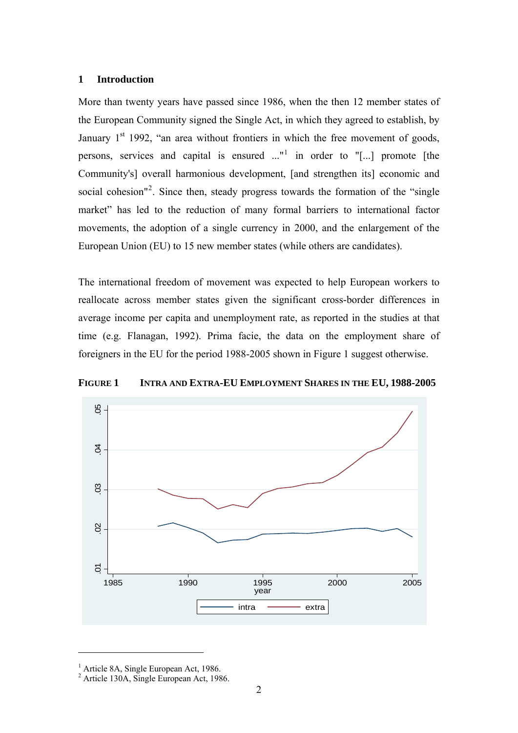# **1 Introduction**

More than twenty years have passed since 1986, when the then 12 member states of the European Community signed the Single Act, in which they agreed to establish, by January  $1<sup>st</sup>$  1992, "an area without frontiers in which the free movement of goods, persons, services and capital is ensured  $\ldots$ <sup>[1](#page-1-0)</sup> in order to "[ $\ldots$ ] promote [the Community's] overall harmonious development, [and strengthen its] economic and social cohesion"<sup>[2](#page-1-1)</sup>. Since then, steady progress towards the formation of the "single market" has led to the reduction of many formal barriers to international factor movements, the adoption of a single currency in 2000, and the enlargement of the European Union (EU) to 15 new member states (while others are candidates).

The international freedom of movement was expected to help European workers to reallocate across member states given the significant cross-border differences in average income per capita and unemployment rate, as reported in the studies at that time (e.g. Flanagan, 1992). Prima facie, the data on the employment share of foreigners in the EU for the period 1988-2005 shown in Figure 1 suggest otherwise.



**FIGURE 1 INTRA AND EXTRA-EU EMPLOYMENT SHARES IN THE EU, 1988-2005** 

1

<span id="page-1-0"></span><sup>&</sup>lt;sup>1</sup> Article 8A, Single European Act, 1986.

<span id="page-1-1"></span><sup>2</sup> Article 130A, Single European Act, 1986.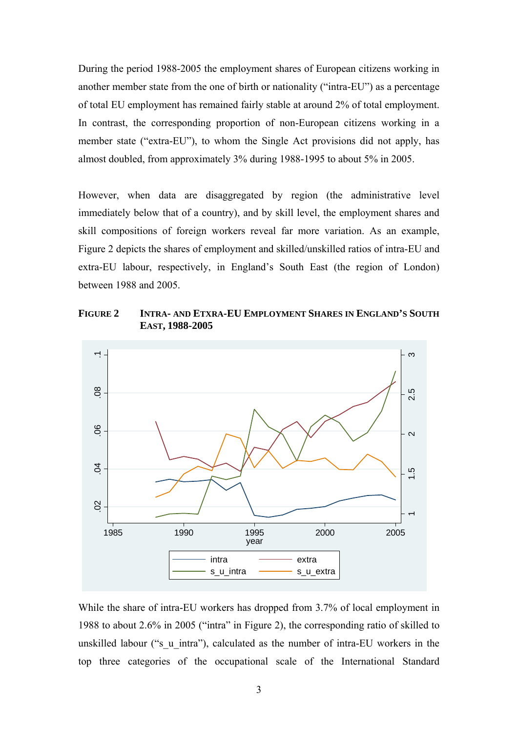During the period 1988-2005 the employment shares of European citizens working in another member state from the one of birth or nationality ("intra-EU") as a percentage of total EU employment has remained fairly stable at around 2% of total employment. In contrast, the corresponding proportion of non-European citizens working in a member state ("extra-EU"), to whom the Single Act provisions did not apply, has almost doubled, from approximately 3% during 1988-1995 to about 5% in 2005.

However, when data are disaggregated by region (the administrative level immediately below that of a country), and by skill level, the employment shares and skill compositions of foreign workers reveal far more variation. As an example, Figure 2 depicts the shares of employment and skilled/unskilled ratios of intra-EU and extra-EU labour, respectively, in England's South East (the region of London) between 1988 and 2005.

**FIGURE 2 INTRA- AND ETXRA-EU EMPLOYMENT SHARES IN ENGLAND'S SOUTH EAST, 1988-2005** 



While the share of intra-EU workers has dropped from 3.7% of local employment in 1988 to about 2.6% in 2005 ("intra" in Figure 2), the corresponding ratio of skilled to unskilled labour ("s\_u\_intra"), calculated as the number of intra-EU workers in the top three categories of the occupational scale of the International Standard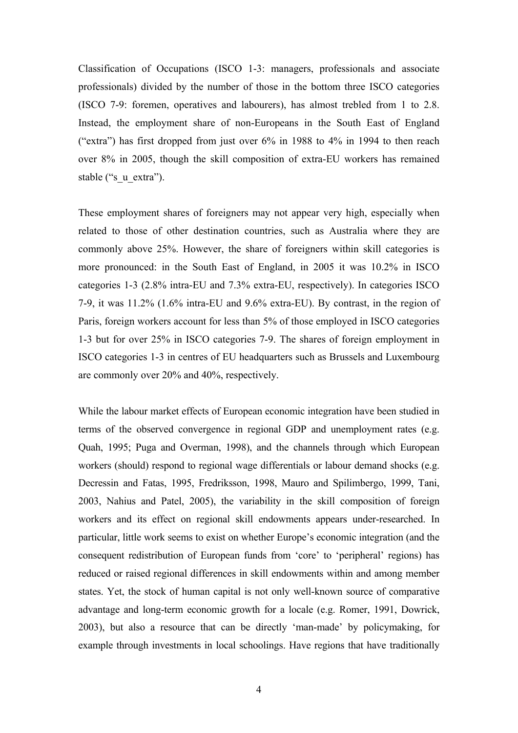Classification of Occupations (ISCO 1-3: managers, professionals and associate professionals) divided by the number of those in the bottom three ISCO categories (ISCO 7-9: foremen, operatives and labourers), has almost trebled from 1 to 2.8. Instead, the employment share of non-Europeans in the South East of England ("extra") has first dropped from just over 6% in 1988 to 4% in 1994 to then reach over 8% in 2005, though the skill composition of extra-EU workers has remained stable ("s\_u\_extra").

These employment shares of foreigners may not appear very high, especially when related to those of other destination countries, such as Australia where they are commonly above 25%. However, the share of foreigners within skill categories is more pronounced: in the South East of England, in 2005 it was 10.2% in ISCO categories 1-3 (2.8% intra-EU and 7.3% extra-EU, respectively). In categories ISCO 7-9, it was 11.2% (1.6% intra-EU and 9.6% extra-EU). By contrast, in the region of Paris, foreign workers account for less than 5% of those employed in ISCO categories 1-3 but for over 25% in ISCO categories 7-9. The shares of foreign employment in ISCO categories 1-3 in centres of EU headquarters such as Brussels and Luxembourg are commonly over 20% and 40%, respectively.

While the labour market effects of European economic integration have been studied in terms of the observed convergence in regional GDP and unemployment rates (e.g. Quah, 1995; Puga and Overman, 1998), and the channels through which European workers (should) respond to regional wage differentials or labour demand shocks (e.g. Decressin and Fatas, 1995, Fredriksson, 1998, Mauro and Spilimbergo, 1999, Tani, 2003, Nahius and Patel, 2005), the variability in the skill composition of foreign workers and its effect on regional skill endowments appears under-researched. In particular, little work seems to exist on whether Europe's economic integration (and the consequent redistribution of European funds from 'core' to 'peripheral' regions) has reduced or raised regional differences in skill endowments within and among member states. Yet, the stock of human capital is not only well-known source of comparative advantage and long-term economic growth for a locale (e.g. Romer, 1991, Dowrick, 2003), but also a resource that can be directly 'man-made' by policymaking, for example through investments in local schoolings. Have regions that have traditionally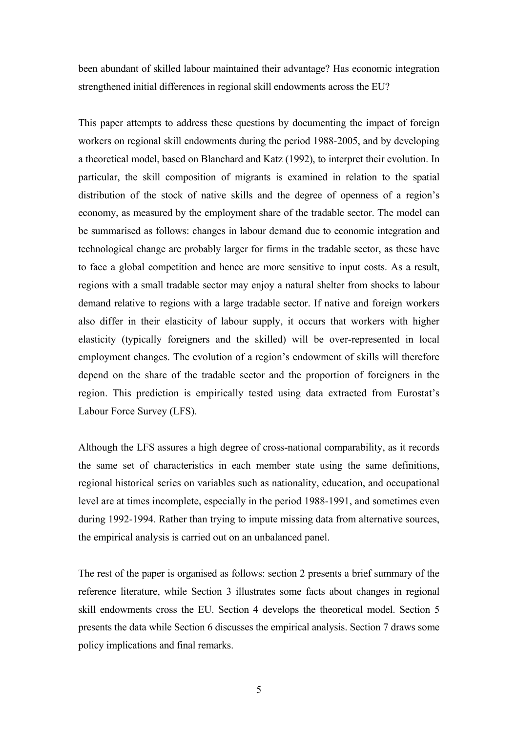been abundant of skilled labour maintained their advantage? Has economic integration strengthened initial differences in regional skill endowments across the EU?

This paper attempts to address these questions by documenting the impact of foreign workers on regional skill endowments during the period 1988-2005, and by developing a theoretical model, based on Blanchard and Katz (1992), to interpret their evolution. In particular, the skill composition of migrants is examined in relation to the spatial distribution of the stock of native skills and the degree of openness of a region's economy, as measured by the employment share of the tradable sector. The model can be summarised as follows: changes in labour demand due to economic integration and technological change are probably larger for firms in the tradable sector, as these have to face a global competition and hence are more sensitive to input costs. As a result, regions with a small tradable sector may enjoy a natural shelter from shocks to labour demand relative to regions with a large tradable sector. If native and foreign workers also differ in their elasticity of labour supply, it occurs that workers with higher elasticity (typically foreigners and the skilled) will be over-represented in local employment changes. The evolution of a region's endowment of skills will therefore depend on the share of the tradable sector and the proportion of foreigners in the region. This prediction is empirically tested using data extracted from Eurostat's Labour Force Survey (LFS).

Although the LFS assures a high degree of cross-national comparability, as it records the same set of characteristics in each member state using the same definitions, regional historical series on variables such as nationality, education, and occupational level are at times incomplete, especially in the period 1988-1991, and sometimes even during 1992-1994. Rather than trying to impute missing data from alternative sources, the empirical analysis is carried out on an unbalanced panel.

The rest of the paper is organised as follows: section 2 presents a brief summary of the reference literature, while Section 3 illustrates some facts about changes in regional skill endowments cross the EU. Section 4 develops the theoretical model. Section 5 presents the data while Section 6 discusses the empirical analysis. Section 7 draws some policy implications and final remarks.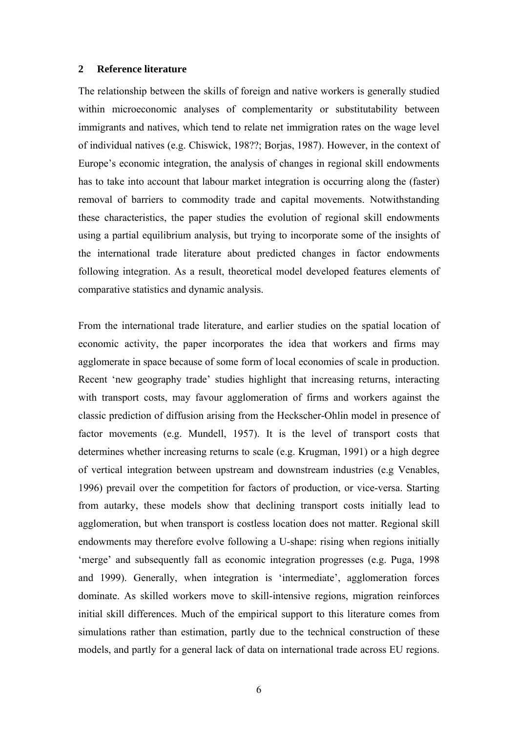### **2 Reference literature**

The relationship between the skills of foreign and native workers is generally studied within microeconomic analyses of complementarity or substitutability between immigrants and natives, which tend to relate net immigration rates on the wage level of individual natives (e.g. Chiswick, 198??; Borjas, 1987). However, in the context of Europe's economic integration, the analysis of changes in regional skill endowments has to take into account that labour market integration is occurring along the (faster) removal of barriers to commodity trade and capital movements. Notwithstanding these characteristics, the paper studies the evolution of regional skill endowments using a partial equilibrium analysis, but trying to incorporate some of the insights of the international trade literature about predicted changes in factor endowments following integration. As a result, theoretical model developed features elements of comparative statistics and dynamic analysis.

From the international trade literature, and earlier studies on the spatial location of economic activity, the paper incorporates the idea that workers and firms may agglomerate in space because of some form of local economies of scale in production. Recent 'new geography trade' studies highlight that increasing returns, interacting with transport costs, may favour agglomeration of firms and workers against the classic prediction of diffusion arising from the Heckscher-Ohlin model in presence of factor movements (e.g. Mundell, 1957). It is the level of transport costs that determines whether increasing returns to scale (e.g. Krugman, 1991) or a high degree of vertical integration between upstream and downstream industries (e.g Venables, 1996) prevail over the competition for factors of production, or vice-versa. Starting from autarky, these models show that declining transport costs initially lead to agglomeration, but when transport is costless location does not matter. Regional skill endowments may therefore evolve following a U-shape: rising when regions initially 'merge' and subsequently fall as economic integration progresses (e.g. Puga, 1998 and 1999). Generally, when integration is 'intermediate', agglomeration forces dominate. As skilled workers move to skill-intensive regions, migration reinforces initial skill differences. Much of the empirical support to this literature comes from simulations rather than estimation, partly due to the technical construction of these models, and partly for a general lack of data on international trade across EU regions.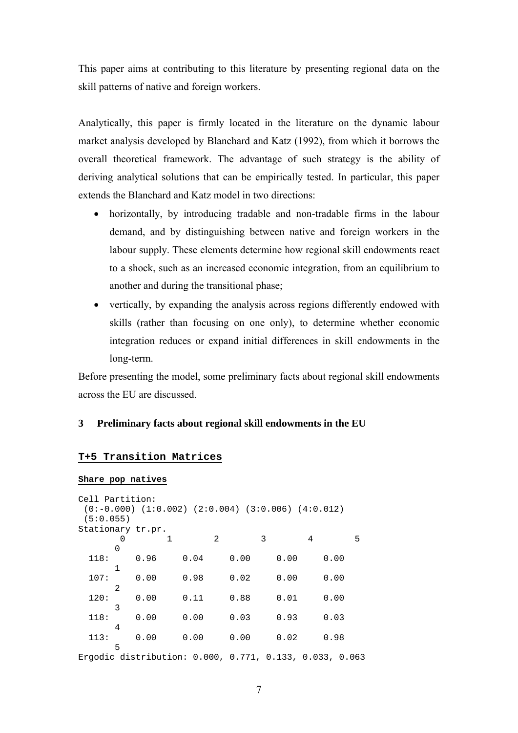This paper aims at contributing to this literature by presenting regional data on the skill patterns of native and foreign workers.

Analytically, this paper is firmly located in the literature on the dynamic labour market analysis developed by Blanchard and Katz (1992), from which it borrows the overall theoretical framework. The advantage of such strategy is the ability of deriving analytical solutions that can be empirically tested. In particular, this paper extends the Blanchard and Katz model in two directions:

- horizontally, by introducing tradable and non-tradable firms in the labour demand, and by distinguishing between native and foreign workers in the labour supply. These elements determine how regional skill endowments react to a shock, such as an increased economic integration, from an equilibrium to another and during the transitional phase;
- vertically, by expanding the analysis across regions differently endowed with skills (rather than focusing on one only), to determine whether economic integration reduces or expand initial differences in skill endowments in the long-term.

Before presenting the model, some preliminary facts about regional skill endowments across the EU are discussed.

# **3 Preliminary facts about regional skill endowments in the EU**

# **T+5 Transition Matrices**

#### **Share pop natives**

| Cell Partition:                                         |   |      |   |      |   |                                                              |   |      |   |      |   |
|---------------------------------------------------------|---|------|---|------|---|--------------------------------------------------------------|---|------|---|------|---|
|                                                         |   |      |   |      |   | $(0:-0.000)$ $(1:0.002)$ $(2:0.004)$ $(3:0.006)$ $(4:0.012)$ |   |      |   |      |   |
| (5:0.055)                                               |   |      |   |      |   |                                                              |   |      |   |      |   |
| Stationary tr.pr.                                       |   |      |   |      |   |                                                              |   |      |   |      |   |
|                                                         | 0 |      | 1 |      | 2 |                                                              | 3 |      | 4 |      | 5 |
|                                                         | 0 |      |   |      |   |                                                              |   |      |   |      |   |
| 118:                                                    |   | 0.96 |   | 0.04 |   | 0.00                                                         |   | 0.00 |   | 0.00 |   |
|                                                         | 1 |      |   |      |   |                                                              |   |      |   |      |   |
| 107:                                                    |   | 0.00 |   | 0.98 |   | 0.02                                                         |   | 0.00 |   | 0.00 |   |
|                                                         | 2 |      |   |      |   |                                                              |   |      |   |      |   |
| 120:                                                    |   | 0.00 |   | 0.11 |   | 0.88                                                         |   | 0.01 |   | 0.00 |   |
|                                                         | 3 |      |   |      |   |                                                              |   |      |   |      |   |
| 118:                                                    |   | 0.00 |   | 0.00 |   | 0.03                                                         |   | 0.93 |   | 0.03 |   |
|                                                         | 4 |      |   |      |   |                                                              |   |      |   |      |   |
| 113:                                                    |   | 0.00 |   | 0.00 |   | 0.00                                                         |   | 0.02 |   | 0.98 |   |
|                                                         | 5 |      |   |      |   |                                                              |   |      |   |      |   |
| Ergodic distribution: 0.000, 0.771, 0.133, 0.033, 0.063 |   |      |   |      |   |                                                              |   |      |   |      |   |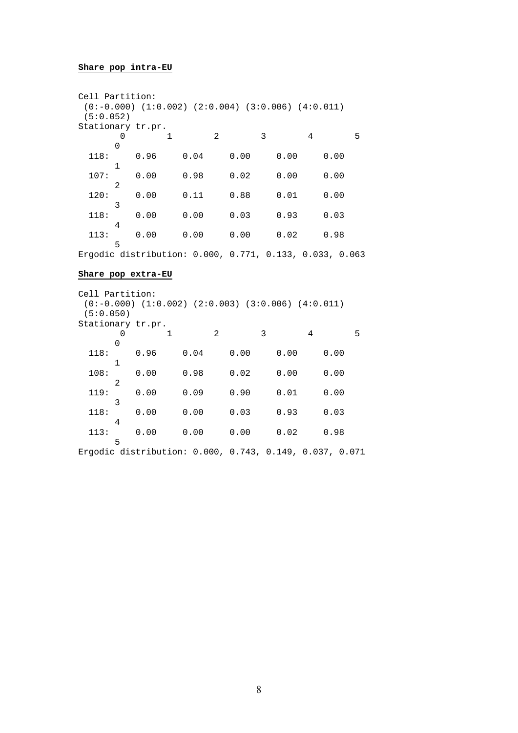#### **Share pop intra-EU**

| Cell Partition:   |   |                                                              |   |      |   |      |   |      |   |      |   |
|-------------------|---|--------------------------------------------------------------|---|------|---|------|---|------|---|------|---|
|                   |   | $(0:-0.000)$ $(1:0.002)$ $(2:0.004)$ $(3:0.006)$ $(4:0.011)$ |   |      |   |      |   |      |   |      |   |
| (5:0.052)         |   |                                                              |   |      |   |      |   |      |   |      |   |
| Stationary tr.pr. |   |                                                              |   |      |   |      |   |      |   |      |   |
|                   | Ω |                                                              | 1 |      | 2 |      | 3 |      | 4 |      | 5 |
|                   | 0 |                                                              |   |      |   |      |   |      |   |      |   |
| 118:              |   | 0.96                                                         |   | 0.04 |   | 0.00 |   | 0.00 |   | 0.00 |   |
|                   | 1 |                                                              |   |      |   |      |   |      |   |      |   |
| 107:              |   | 0.00                                                         |   | 0.98 |   | 0.02 |   | 0.00 |   | 0.00 |   |
|                   | 2 |                                                              |   |      |   |      |   |      |   |      |   |
| 120:              |   | 0.00                                                         |   | 0.11 |   | 0.88 |   | 0.01 |   | 0.00 |   |
|                   | 3 |                                                              |   |      |   |      |   |      |   |      |   |
| 118:              |   | 0.00                                                         |   | 0.00 |   | 0.03 |   | 0.93 |   | 0.03 |   |
|                   | 4 |                                                              |   |      |   |      |   |      |   |      |   |
| 113:              |   | 0.00                                                         |   | 0.00 |   | 0.00 |   | 0.02 |   | 0.98 |   |
|                   | 5 |                                                              |   |      |   |      |   |      |   |      |   |

Ergodic distribution: 0.000, 0.771, 0.133, 0.033, 0.063

# **Share pop extra-EU**

Cell Partition: (0:-0.000) (1:0.002) (2:0.003) (3:0.006) (4:0.011) (5:0.050) Stationary tr.pr. 0 1 2 3 4 5  $\overline{0}$  118: 0.96 0.04 0.00 0.00 0.00 1 108: 0.00 0.98 0.02 0.00 0.00 2 119: 0.00 0.09 0.90 0.01 0.00 3 118: 0.00 0.00 0.03 0.93 0.03 4 113: 0.00 0.00 0.00 0.02 0.98 5

Ergodic distribution: 0.000, 0.743, 0.149, 0.037, 0.071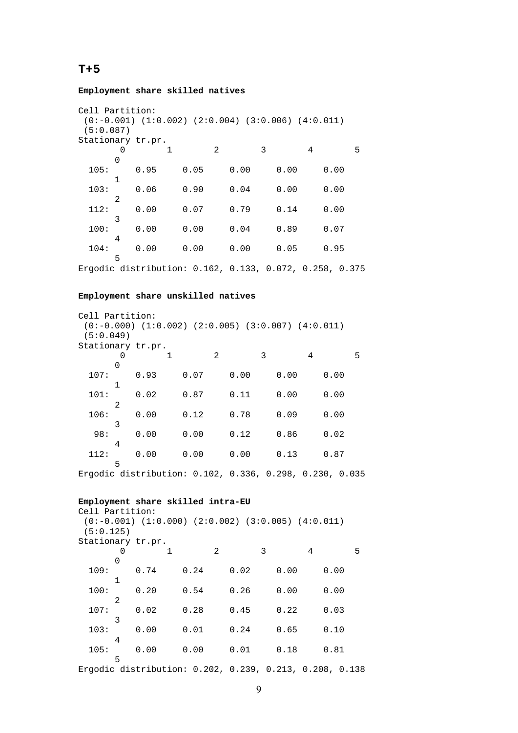# **T+5**

**Employment share skilled natives** 

```
Cell Partition: 
 (0:-0.001) (1:0.002) (2:0.004) (3:0.006) (4:0.011) 
 (5:0.087) 
Stationary tr.pr.<br>0 1
                  2 3 4 5
 \begin{array}{c} 0 \\ 105 \colon \end{array} 105: 0.95 0.05 0.00 0.00 0.00 
       1 
  103: 0.06 0.90 0.04 0.00 0.00 
 112:<sup>2</sup>
           112: 0.00 0.07 0.79 0.14 0.00 
 3^{3} 100: 0.00 0.00 0.04 0.89 0.07 
 104:<sup>4</sup>
           104: 0.00 0.00 0.00 0.05 0.95 
       5
```
Ergodic distribution: 0.162, 0.133, 0.072, 0.258, 0.375

#### **Employment share unskilled natives**

| Cell Partition:   |                |                                                              |      |   |      |   |      |   |      |   |
|-------------------|----------------|--------------------------------------------------------------|------|---|------|---|------|---|------|---|
|                   |                | $(0:-0.000)$ $(1:0.002)$ $(2:0.005)$ $(3:0.007)$ $(4:0.011)$ |      |   |      |   |      |   |      |   |
| (5:0.049)         |                |                                                              |      |   |      |   |      |   |      |   |
| Stationary tr.pr. |                |                                                              |      |   |      |   |      |   |      |   |
|                   | 0              |                                                              |      | 2 |      | 3 |      | 4 |      | 5 |
|                   | 0              |                                                              |      |   |      |   |      |   |      |   |
| 107:              |                | 0.93                                                         | 0.07 |   | 0.00 |   | 0.00 |   | 0.00 |   |
|                   | 1              |                                                              |      |   |      |   |      |   |      |   |
| 101:              |                | 0.02                                                         | 0.87 |   | 0.11 |   | 0.00 |   | 0.00 |   |
|                   | $\mathfrak{D}$ |                                                              |      |   |      |   |      |   |      |   |
| 106:              |                | 0.00                                                         | 0.12 |   | 0.78 |   | 0.09 |   | 0.00 |   |
|                   | 3              |                                                              |      |   |      |   |      |   |      |   |
| 98:               |                | 0.00                                                         | 0.00 |   | 0.12 |   | 0.86 |   | 0.02 |   |
|                   | 4              |                                                              |      |   |      |   |      |   |      |   |
| 112:              |                | 0.00                                                         | 0.00 |   | 0.00 |   | 0.13 |   | 0.87 |   |
|                   | 5              |                                                              |      |   |      |   |      |   |      |   |

Ergodic distribution: 0.102, 0.336, 0.298, 0.230, 0.035

#### **Employment share skilled intra-EU**

| Cell Partition:   |   |      |   |      |   |                                                              |   |      |   |      |   |
|-------------------|---|------|---|------|---|--------------------------------------------------------------|---|------|---|------|---|
|                   |   |      |   |      |   | $(0:-0.001)$ $(1:0.000)$ $(2:0.002)$ $(3:0.005)$ $(4:0.011)$ |   |      |   |      |   |
| (5:0.125)         |   |      |   |      |   |                                                              |   |      |   |      |   |
| Stationary tr.pr. |   |      |   |      |   |                                                              |   |      |   |      |   |
|                   |   |      | 1 |      | 2 |                                                              | 3 |      | 4 |      | 5 |
|                   | O |      |   |      |   |                                                              |   |      |   |      |   |
| 109:              |   | 0.74 |   | 0.24 |   | 0.02                                                         |   | 0.00 |   | 0.00 |   |
|                   | 1 |      |   |      |   |                                                              |   |      |   |      |   |
| 100:              |   | 0.20 |   | 0.54 |   | 0.26                                                         |   | 0.00 |   | 0.00 |   |
|                   | 2 |      |   |      |   |                                                              |   |      |   |      |   |
| 107:              |   | 0.02 |   | 0.28 |   | 0.45                                                         |   | 0.22 |   | 0.03 |   |
|                   | 3 |      |   |      |   |                                                              |   |      |   |      |   |
| 103:              |   | 0.00 |   | 0.01 |   | 0.24                                                         |   | 0.65 |   | 0.10 |   |
|                   | 4 |      |   |      |   |                                                              |   |      |   |      |   |
| 105:              |   | 0.00 |   | 0.00 |   | 0.01                                                         |   | 0.18 |   | 0.81 |   |
|                   | 5 |      |   |      |   |                                                              |   |      |   |      |   |
|                   |   |      |   |      |   | Ergodic distribution: 0.202, 0.239, 0.213, 0.208, 0.138      |   |      |   |      |   |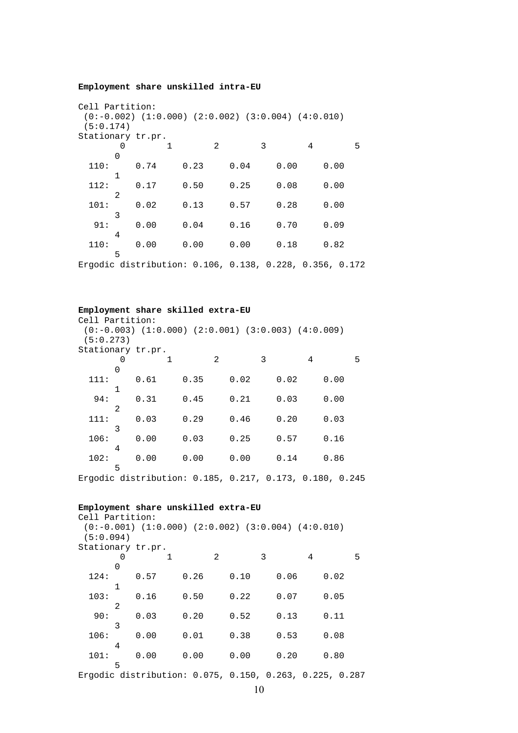#### **Employment share unskilled intra-EU**

```
Cell Partition: 
(0:-0.002) (1:0.000) (2:0.002) (3:0.004) (4:0.010) (5:0.174) 
Stationary tr.pr. 
        0 1 2 3 4 5 
  \begin{array}{c} 0 \\ 110 \colon \end{array} 110: 0.74 0.23 0.04 0.00 0.00 
  \begin{array}{c} 1 \\ 112 \colon \end{array} 112: 0.17 0.50 0.25 0.08 0.00 
  \begin{array}{c} 2 \\ 101 \end{array} 101: 0.02 0.13 0.57 0.28 0.00 
   91:<sup>3</sup>
            91: 0.00 0.04 0.16 0.70 0.09 
  \frac{4}{110}:
            110: 0.00 0.00 0.00 0.18 0.82 
        5
```
Ergodic distribution: 0.106, 0.138, 0.228, 0.356, 0.172

#### **Employment share skilled extra-EU**

| Cell Partition:   |                |                                                              |   |      |   |      |   |      |   |      |   |
|-------------------|----------------|--------------------------------------------------------------|---|------|---|------|---|------|---|------|---|
|                   |                | $(0:-0.003)$ $(1:0.000)$ $(2:0.001)$ $(3:0.003)$ $(4:0.009)$ |   |      |   |      |   |      |   |      |   |
| (5:0.273)         |                |                                                              |   |      |   |      |   |      |   |      |   |
| Stationary tr.pr. |                |                                                              |   |      |   |      |   |      |   |      |   |
|                   |                |                                                              | 1 |      | 2 |      | 3 |      | 4 |      | 5 |
|                   | 0              |                                                              |   |      |   |      |   |      |   |      |   |
| 111:              |                | 0.61                                                         |   | 0.35 |   | 0.02 |   | 0.02 |   | 0.00 |   |
|                   | 1              |                                                              |   |      |   |      |   |      |   |      |   |
| 94:               |                | 0.31                                                         |   | 0.45 |   | 0.21 |   | 0.03 |   | 0.00 |   |
|                   | $\mathfrak{D}$ |                                                              |   |      |   |      |   |      |   |      |   |
| 111:              |                | 0.03                                                         |   | 0.29 |   | 0.46 |   | 0.20 |   | 0.03 |   |
|                   | 3              |                                                              |   |      |   |      |   |      |   |      |   |
| 106:              |                | 0.00                                                         |   | 0.03 |   | 0.25 |   | 0.57 |   | 0.16 |   |
|                   | 4              |                                                              |   |      |   |      |   |      |   |      |   |
| 102:              |                | 0.00                                                         |   | 0.00 |   | 0.00 |   | 0.14 |   | 0.86 |   |
|                   | 5              |                                                              |   |      |   |      |   |      |   |      |   |

Ergodic distribution: 0.185, 0.217, 0.173, 0.180, 0.245

#### **Employment share unskilled extra-EU**

| Cell Partition:   |   |      |   |      |                |      |   |                                                              |   |      |   |
|-------------------|---|------|---|------|----------------|------|---|--------------------------------------------------------------|---|------|---|
|                   |   |      |   |      |                |      |   | $(0:-0.001)$ $(1:0.000)$ $(2:0.002)$ $(3:0.004)$ $(4:0.010)$ |   |      |   |
| (5:0.094)         |   |      |   |      |                |      |   |                                                              |   |      |   |
| Stationary tr.pr. |   |      |   |      |                |      |   |                                                              |   |      |   |
|                   | 0 |      | 1 |      | $\mathfrak{D}$ |      | 3 |                                                              | 4 |      | 5 |
|                   | 0 |      |   |      |                |      |   |                                                              |   |      |   |
| 124:              |   | 0.57 |   | 0.26 |                | 0.10 |   | 0.06                                                         |   | 0.02 |   |
|                   | 1 |      |   |      |                |      |   |                                                              |   |      |   |
| 103:              |   | 0.16 |   | 0.50 |                | 0.22 |   | 0.07                                                         |   | 0.05 |   |
|                   | 2 |      |   |      |                |      |   |                                                              |   |      |   |
| 90:               |   | 0.03 |   | 0.20 |                | 0.52 |   | 0.13                                                         |   | 0.11 |   |
|                   | 3 |      |   |      |                |      |   |                                                              |   |      |   |
| 106:              |   | 0.00 |   | 0.01 |                | 0.38 |   | 0.53                                                         |   | 0.08 |   |
|                   | 4 |      |   |      |                |      |   |                                                              |   |      |   |
| 101:              |   | 0.00 |   | 0.00 |                | 0.00 |   | 0.20                                                         |   | 0.80 |   |
|                   | 5 |      |   |      |                |      |   |                                                              |   |      |   |
|                   |   |      |   |      |                |      |   |                                                              |   |      |   |

Ergodic distribution: 0.075, 0.150, 0.263, 0.225, 0.287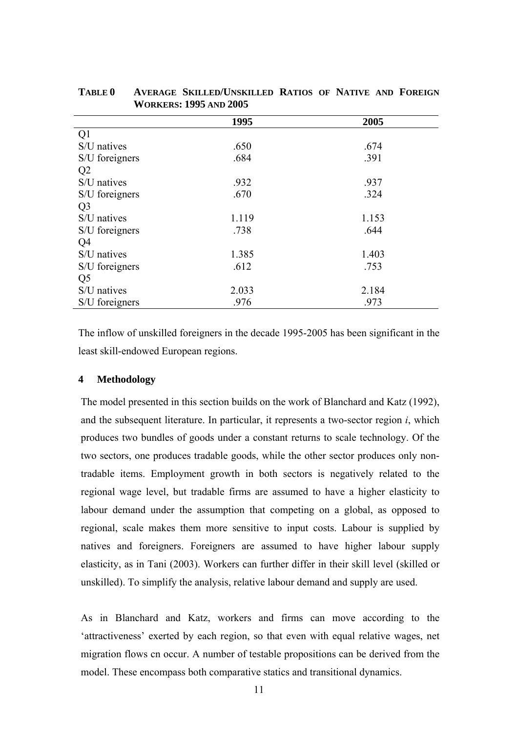|                | 1995  | 2005  |
|----------------|-------|-------|
| Q <sub>1</sub> |       |       |
| S/U natives    | .650  | .674  |
| S/U foreigners | .684  | .391  |
| Q <sub>2</sub> |       |       |
| S/U natives    | .932  | .937  |
| S/U foreigners | .670  | .324  |
| Q <sub>3</sub> |       |       |
| S/U natives    | 1.119 | 1.153 |
| S/U foreigners | .738  | .644  |
| Q <sub>4</sub> |       |       |
| S/U natives    | 1.385 | 1.403 |
| S/U foreigners | .612  | .753  |
| Q <sub>5</sub> |       |       |
| S/U natives    | 2.033 | 2.184 |
| S/U foreigners | .976  | .973  |

**TABLE 0 AVERAGE SKILLED/UNSKILLED RATIOS OF NATIVE AND FOREIGN WORKERS: 1995 AND 2005** 

The inflow of unskilled foreigners in the decade 1995-2005 has been significant in the least skill-endowed European regions.

# **4 Methodology**

The model presented in this section builds on the work of Blanchard and Katz (1992), and the subsequent literature. In particular, it represents a two-sector region *i*, which produces two bundles of goods under a constant returns to scale technology. Of the two sectors, one produces tradable goods, while the other sector produces only nontradable items. Employment growth in both sectors is negatively related to the regional wage level, but tradable firms are assumed to have a higher elasticity to labour demand under the assumption that competing on a global, as opposed to regional, scale makes them more sensitive to input costs. Labour is supplied by natives and foreigners. Foreigners are assumed to have higher labour supply elasticity, as in Tani (2003). Workers can further differ in their skill level (skilled or unskilled). To simplify the analysis, relative labour demand and supply are used.

As in Blanchard and Katz, workers and firms can move according to the 'attractiveness' exerted by each region, so that even with equal relative wages, net migration flows cn occur. A number of testable propositions can be derived from the model. These encompass both comparative statics and transitional dynamics.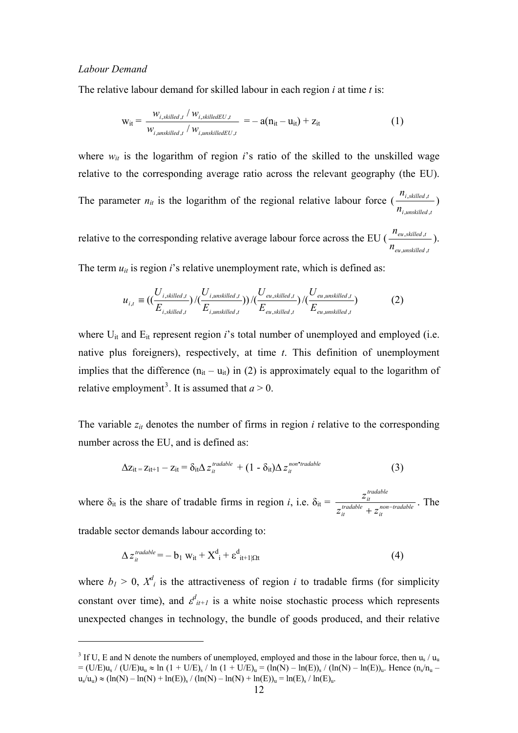# *Labour Demand*

The relative labour demand for skilled labour in each region *i* at time *t* is:

$$
w_{it} = \frac{w_{i, skilled, t} / w_{i, skilledEU, t}}{w_{i, unskilled, t} / w_{i, unskilledEU, t}} = -a(n_{it} - u_{it}) + z_{it}
$$
(1)

where  $w_{it}$  is the logarithm of region *i*'s ratio of the skilled to the unskilled wage relative to the corresponding average ratio across the relevant geography (the EU). The parameter  $n_{it}$  is the logarithm of the regional relative labour force ( i, unskilled i, skilled, *n n* ,unskilled  $\frac{1}{s$ killed,t

relative to the corresponding relative average labour force across the EU ( *tunskilledeu tskilledeu n n* ,unskilled,  $\frac{, skilled, t}{,}$ .

The term  $u_{it}$  is region  $i$ 's relative unemployment rate, which is defined as:

$$
u_{i,t} = \left(\left(\frac{U_{i,skilled,t}}{E_{i,skilled,t}}\right) / \left(\frac{U_{i,unskilled,t}}{E_{i,unskilled,t}}\right) / \left(\frac{U_{eu,skilled,t}}{E_{eu,skilled,t}}\right) / \left(\frac{U_{eu,unskilled,t}}{E_{eu,unskilled,t}}\right)
$$
(2)

where U<sub>it</sub> and E<sub>it</sub> represent region *i*'s total number of unemployed and employed (i.e. native plus foreigners), respectively, at time *t*. This definition of unemployment implies that the difference  $(n_{it} - u_{it})$  in (2) is approximately equal to the logarithm of relative employment<sup>[3](#page-11-0)</sup>. It is assumed that  $a > 0$ .

The variable  $z_{it}$  denotes the number of firms in region  $i$  relative to the corresponding number across the EU, and is defined as:

$$
\Delta z_{it} = z_{it+1} - z_{it} = \delta_{it} \Delta z_{it}^{tradable} + (1 - \delta_{it}) \Delta z_{it}^{non-tradable}
$$
\n(3)

where  $\delta_{it}$  is the share of tradable firms in region *i*, i.e.  $\delta_{it} = \frac{2it}{\pi r \cdot \text{stable}}$   $\frac{1}{\pi r \cdot \text{non-tradable}}$ *it tradable it tradable it*  $z$ <sup>tradable</sup> +  $z$ *z*  $+ z_{it}^{non-}$ . The

tradable sector demands labour according to:

1

$$
\Delta z_{it}^{tradable} = -b_1 w_{it} + X_{i}^{d} + \varepsilon_{it+1|\Omega t}^{d}
$$
 (4)

where  $b_1 > 0$ ,  $X_i^d$  is the attractiveness of region *i* to tradable firms (for simplicity constant over time), and  $\varepsilon^{d}_{i+1}$  is a white noise stochastic process which represents unexpected changes in technology, the bundle of goods produced, and their relative

<span id="page-11-0"></span><sup>&</sup>lt;sup>3</sup> If U, E and N denote the numbers of unemployed, employed and those in the labour force, then  $u_s / u_u$  $= (U/E)u_s / (U/E)u_u \approx \ln (1 + U/E)_s / \ln (1 + U/E)_u = (\ln(N) - \ln(E))_s / (\ln(N) - \ln(E))_u$ . Hence  $(n_s/n_u - \ln(E))$  $u_s/u_u$ )  $\approx (\ln(N) - \ln(N) + \ln(E))_s / (\ln(N) - \ln(N) + \ln(E))_u = \ln(E)_s / \ln(E)_u$ .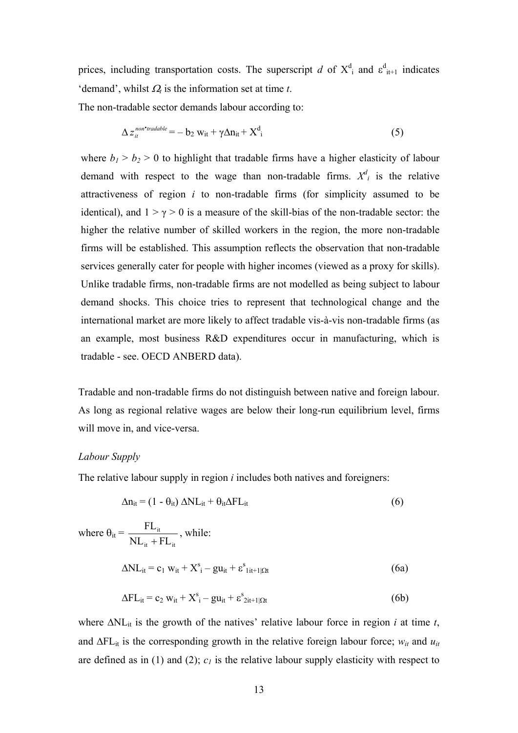prices, including transportation costs. The superscript *d* of  $X^d$  and  $\varepsilon^d$ <sub>it+1</sub> indicates 'demand', whilst <sup>Ω</sup>*t* is the information set at time *t*.

The non-tradable sector demands labour according to:

$$
\Delta z_{it}^{non-tradable} = -b_2 w_{it} + \gamma \Delta n_{it} + X_{i}^{d}
$$
 (5)

where  $b_1 > b_2 > 0$  to highlight that tradable firms have a higher elasticity of labour demand with respect to the wage than non-tradable firms.  $X_i^d$  is the relative attractiveness of region *i* to non-tradable firms (for simplicity assumed to be identical), and  $1 > \gamma > 0$  is a measure of the skill-bias of the non-tradable sector: the higher the relative number of skilled workers in the region, the more non-tradable firms will be established. This assumption reflects the observation that non-tradable services generally cater for people with higher incomes (viewed as a proxy for skills). Unlike tradable firms, non-tradable firms are not modelled as being subject to labour demand shocks. This choice tries to represent that technological change and the international market are more likely to affect tradable vis-à-vis non-tradable firms (as an example, most business R&D expenditures occur in manufacturing, which is tradable - see. OECD ANBERD data).

Tradable and non-tradable firms do not distinguish between native and foreign labour. As long as regional relative wages are below their long-run equilibrium level, firms will move in, and vice-versa.

# *Labour Supply*

The relative labour supply in region *i* includes both natives and foreigners:

$$
\Delta n_{it} = (1 - \theta_{it}) \Delta NL_{it} + \theta_{it} \Delta FL_{it}
$$
\n(6)

where  $\theta_{it} =$ it  $\top$  **i**  $L$  it it  $\text{NL}_{\text{it}} + \text{FL}$ FL + , while:  $\Delta N L_{it} = c_1 w_{it} + X_i^s - g u_{it} + \varepsilon_i^s t_{it+1} \Omega t}$  (6a)  $\Delta FL_{it} = c_2 w_{it} + X_i^s - gu_{it} + \varepsilon_{2it+1|\Omega t}^s$  (6b)

where  $\Delta NL_{it}$  is the growth of the natives' relative labour force in region *i* at time *t*, and  $\Delta FL_{it}$  is the corresponding growth in the relative foreign labour force;  $w_{it}$  and  $u_{it}$ are defined as in (1) and (2);  $c<sub>l</sub>$  is the relative labour supply elasticity with respect to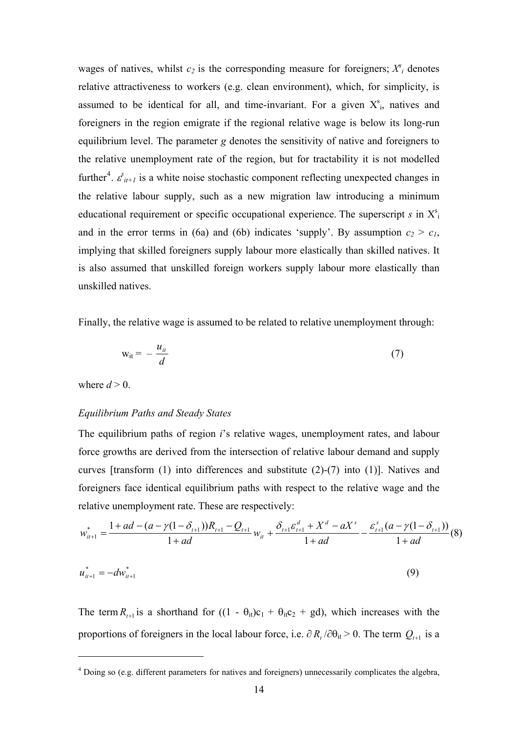wages of natives, whilst  $c_2$  is the corresponding measure for foreigners;  $X^s$ <sub>i</sub> denotes relative attractiveness to workers (e.g. clean environment), which, for simplicity, is assumed to be identical for all, and time-invariant. For a given  $X_{i}^{s}$ , natives and foreigners in the region emigrate if the regional relative wage is below its long-run equilibrium level. The parameter *g* denotes the sensitivity of native and foreigners to the relative unemployment rate of the region, but for tractability it is not modelled further<sup>[4](#page-13-0)</sup>.  $\varepsilon_{it+1}^s$  is a white noise stochastic component reflecting unexpected changes in the relative labour supply, such as a new migration law introducing a minimum educational requirement or specific occupational experience. The superscript  $s$  in  $X^s$ and in the error terms in (6a) and (6b) indicates 'supply'. By assumption  $c_2 > c_1$ , implying that skilled foreigners supply labour more elastically than skilled natives. It is also assumed that unskilled foreign workers supply labour more elastically than unskilled natives.

Finally, the relative wage is assumed to be related to relative unemployment through:

$$
w_{it} = -\frac{u_{it}}{d} \tag{7}
$$

where  $d > 0$ .

1

### *Equilibrium Paths and Steady States*

The equilibrium paths of region *i*'s relative wages, unemployment rates, and labour force growths are derived from the intersection of relative labour demand and supply curves [transform (1) into differences and substitute (2)-(7) into (1)]. Natives and foreigners face identical equilibrium paths with respect to the relative wage and the relative unemployment rate. These are respectively:

$$
w_{it+1}^* = \frac{1 + ad - (a - \gamma(1 - \delta_{t+1}))R_{t+1} - Q_{t+1}}{1 + ad}w_{it} + \frac{\delta_{t+1}\varepsilon_{t+1}^d + X^d - aX^s}{1 + ad} - \frac{\varepsilon_{t+1}^s (a - \gamma(1 - \delta_{t+1}))}{1 + ad}(8)
$$
  

$$
u_{it+1}^* = -dw_{it+1}^*
$$
 (9)

The term  $R_{t+1}$  is a shorthand for  $((1 - \theta_{it})c_1 + \theta_{it}c_2 + gd)$ , which increases with the proportions of foreigners in the local labour force, i.e.  $\partial R_t / \partial \theta_{it} > 0$ . The term  $Q_{t+1}$  is a

<span id="page-13-0"></span><sup>&</sup>lt;sup>4</sup> Doing so (e.g. different parameters for natives and foreigners) unnecessarily complicates the algebra,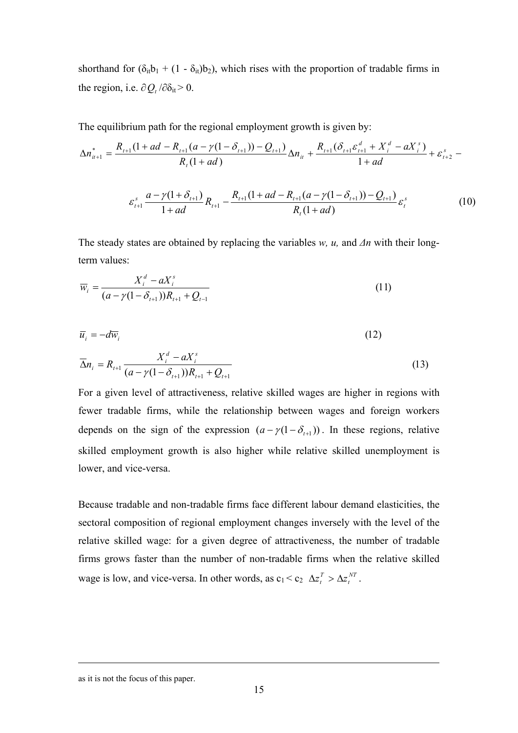shorthand for  $(\delta_{it}b_1 + (1 - \delta_{it})b_2)$ , which rises with the proportion of tradable firms in the region, i.e.  $\partial Q_t / \partial \delta_{it} > 0$ .

The equilibrium path for the regional employment growth is given by:

$$
\Delta n_{it+1}^* = \frac{R_{t+1}(1+ad - R_{t+1}(a-\gamma(1-\delta_{t+1})) - Q_{t+1})}{R_{t}(1+ad)}\Delta n_{it} + \frac{R_{t+1}(\delta_{t+1}\varepsilon_{t+1}^d + X_i^d - aX_i^s)}{1+ad} + \varepsilon_{t+2}^s -
$$

$$
\varepsilon_{t+1}^s \frac{a - \gamma (1 + \delta_{t+1})}{1 + ad} R_{t+1} - \frac{R_{t+1} (1 + ad - R_{t+1} (a - \gamma (1 - \delta_{t+1})) - Q_{t+1})}{R_t (1 + ad)} \varepsilon_t^s \tag{10}
$$

The steady states are obtained by replacing the variables *w, u,* and *Δn* with their longterm values:

$$
\overline{w}_{i} = \frac{X_{i}^{d} - aX_{i}^{s}}{(a - \gamma(1 - \delta_{t+1}))R_{t+1} + Q_{t-1}}
$$
(11)

$$
\overline{u}_i = -d\overline{w}_i \tag{12}
$$

$$
\overline{\Delta}n_{i} = R_{i+1} \frac{X_{i}^{d} - aX_{i}^{s}}{(a - \gamma(1 - \delta_{i+1}))R_{i+1} + Q_{i+1}}
$$
\n(13)

For a given level of attractiveness, relative skilled wages are higher in regions with fewer tradable firms, while the relationship between wages and foreign workers depends on the sign of the expression  $(a - \gamma(1 - \delta_{t+1}))$ . In these regions, relative skilled employment growth is also higher while relative skilled unemployment is lower, and vice-versa.

Because tradable and non-tradable firms face different labour demand elasticities, the sectoral composition of regional employment changes inversely with the level of the relative skilled wage: for a given degree of attractiveness, the number of tradable firms grows faster than the number of non-tradable firms when the relative skilled wage is low, and vice-versa. In other words, as  $c_1 < c_2 \Delta z_t^T > \Delta z_t^{NT}$ .  $\Delta z_t^T > \Delta z$ 

as it is not the focus of this paper.

1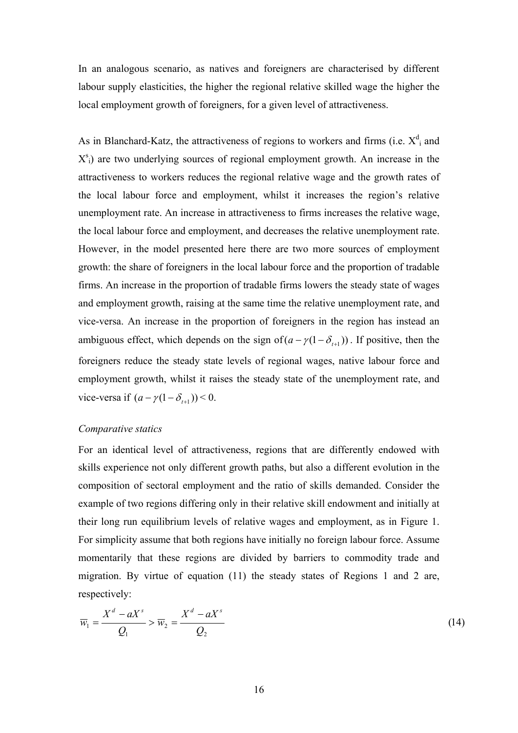In an analogous scenario, as natives and foreigners are characterised by different labour supply elasticities, the higher the regional relative skilled wage the higher the local employment growth of foreigners, for a given level of attractiveness.

As in Blanchard-Katz, the attractiveness of regions to workers and firms (i.e.  $X_{i}^{d}$  and  $X_{i}^{s}$ ) are two underlying sources of regional employment growth. An increase in the attractiveness to workers reduces the regional relative wage and the growth rates of the local labour force and employment, whilst it increases the region's relative unemployment rate. An increase in attractiveness to firms increases the relative wage, the local labour force and employment, and decreases the relative unemployment rate. However, in the model presented here there are two more sources of employment growth: the share of foreigners in the local labour force and the proportion of tradable firms. An increase in the proportion of tradable firms lowers the steady state of wages and employment growth, raising at the same time the relative unemployment rate, and vice-versa. An increase in the proportion of foreigners in the region has instead an ambiguous effect, which depends on the sign of  $(a - \gamma(1 - \delta_{t+1}))$ . If positive, then the foreigners reduce the steady state levels of regional wages, native labour force and employment growth, whilst it raises the steady state of the unemployment rate, and vice-versa if  $(a - \gamma(1 - \delta_{t+1}))$  < 0.

# *Comparative statics*

For an identical level of attractiveness, regions that are differently endowed with skills experience not only different growth paths, but also a different evolution in the composition of sectoral employment and the ratio of skills demanded. Consider the example of two regions differing only in their relative skill endowment and initially at their long run equilibrium levels of relative wages and employment, as in Figure 1. For simplicity assume that both regions have initially no foreign labour force. Assume momentarily that these regions are divided by barriers to commodity trade and migration. By virtue of equation (11) the steady states of Regions 1 and 2 are, respectively:

$$
\overline{w}_1 = \frac{X^d - aX^s}{Q_1} > \overline{w}_2 = \frac{X^d - aX^s}{Q_2} \tag{14}
$$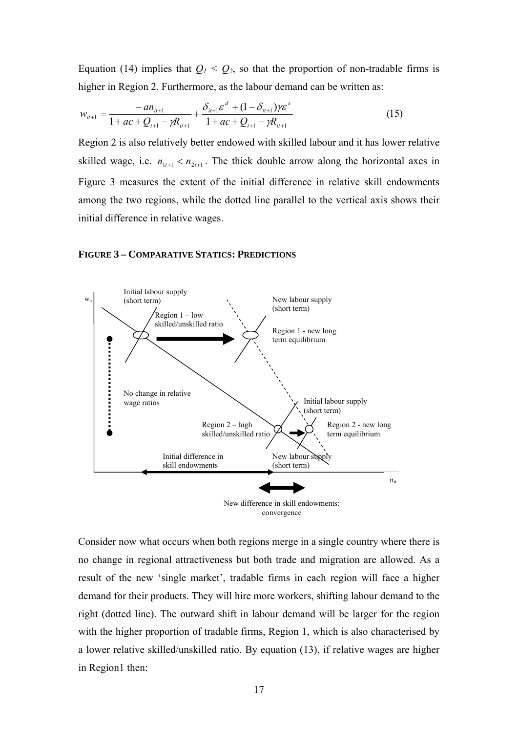Equation (14) implies that  $Q_1 < Q_2$ , so that the proportion of non-tradable firms is higher in Region 2. Furthermore, as the labour demand can be written as:

$$
w_{it+1} = \frac{-a n_{it+1}}{1 + ac + Q_{t+1} - \gamma R_{it+1}} + \frac{\delta_{it+1} \varepsilon^d + (1 - \delta_{it+1}) \gamma \varepsilon^s}{1 + ac + Q_{t+1} - \gamma R_{it+1}}
$$
(15)

Region 2 is also relatively better endowed with skilled labour and it has lower relative skilled wage, i.e.  $n_{1t+1} < n_{2t+1}$ . The thick double arrow along the horizontal axes in Figure 3 measures the extent of the initial difference in relative skill endowments among the two regions, while the dotted line parallel to the vertical axis shows their initial difference in relative wages.

# **FIGURE 3 – COMPARATIVE STATICS: PREDICTIONS**



Consider now what occurs when both regions merge in a single country where there is no change in regional attractiveness but both trade and migration are allowed. As a result of the new 'single market', tradable firms in each region will face a higher demand for their products. They will hire more workers, shifting labour demand to the right (dotted line). The outward shift in labour demand will be larger for the region with the higher proportion of tradable firms, Region 1, which is also characterised by a lower relative skilled/unskilled ratio. By equation (13), if relative wages are higher in Region1 then: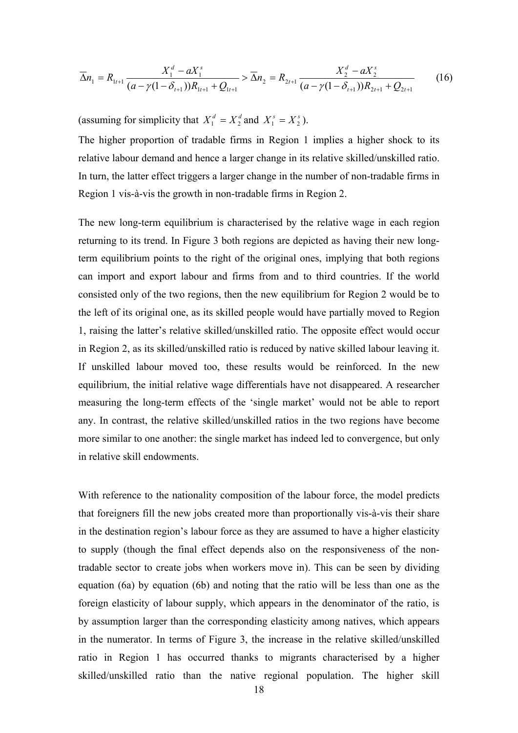$$
\overline{\Delta}n_1 = R_{1t+1} \frac{X_1^d - aX_1^s}{(a - \gamma(1 - \delta_{t+1}))R_{1t+1} + Q_{1t+1}} > \overline{\Delta}n_2 = R_{2t+1} \frac{X_2^d - aX_2^s}{(a - \gamma(1 - \delta_{t+1}))R_{2t+1} + Q_{2t+1}}
$$
(16)

(assuming for simplicity that  $X_1^d = X_2^d$  and  $X_1^s = X_2^s$ ).

The higher proportion of tradable firms in Region 1 implies a higher shock to its relative labour demand and hence a larger change in its relative skilled/unskilled ratio. In turn, the latter effect triggers a larger change in the number of non-tradable firms in Region 1 vis-à-vis the growth in non-tradable firms in Region 2.

The new long-term equilibrium is characterised by the relative wage in each region returning to its trend. In Figure 3 both regions are depicted as having their new longterm equilibrium points to the right of the original ones, implying that both regions can import and export labour and firms from and to third countries. If the world consisted only of the two regions, then the new equilibrium for Region 2 would be to the left of its original one, as its skilled people would have partially moved to Region 1, raising the latter's relative skilled/unskilled ratio. The opposite effect would occur in Region 2, as its skilled/unskilled ratio is reduced by native skilled labour leaving it. If unskilled labour moved too, these results would be reinforced. In the new equilibrium, the initial relative wage differentials have not disappeared. A researcher measuring the long-term effects of the 'single market' would not be able to report any. In contrast, the relative skilled/unskilled ratios in the two regions have become more similar to one another: the single market has indeed led to convergence, but only in relative skill endowments.

With reference to the nationality composition of the labour force, the model predicts that foreigners fill the new jobs created more than proportionally vis-à-vis their share in the destination region's labour force as they are assumed to have a higher elasticity to supply (though the final effect depends also on the responsiveness of the nontradable sector to create jobs when workers move in). This can be seen by dividing equation (6a) by equation (6b) and noting that the ratio will be less than one as the foreign elasticity of labour supply, which appears in the denominator of the ratio, is by assumption larger than the corresponding elasticity among natives, which appears in the numerator. In terms of Figure 3, the increase in the relative skilled/unskilled ratio in Region 1 has occurred thanks to migrants characterised by a higher skilled/unskilled ratio than the native regional population. The higher skill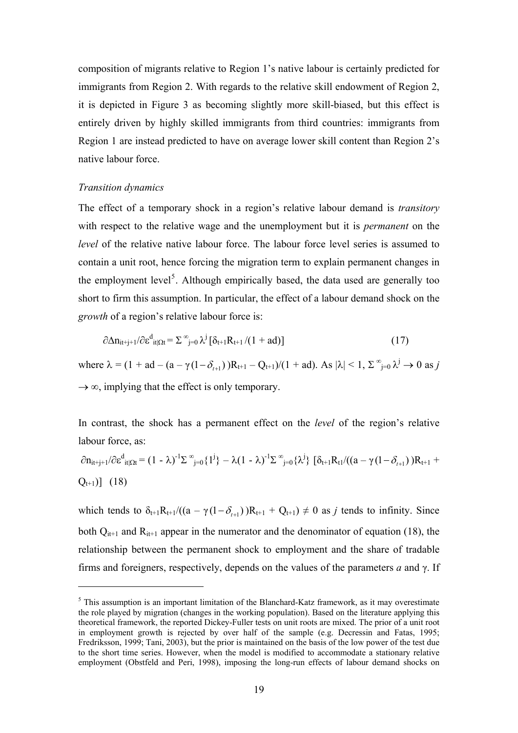composition of migrants relative to Region 1's native labour is certainly predicted for immigrants from Region 2. With regards to the relative skill endowment of Region 2, it is depicted in Figure 3 as becoming slightly more skill-biased, but this effect is entirely driven by highly skilled immigrants from third countries: immigrants from Region 1 are instead predicted to have on average lower skill content than Region 2's native labour force.

# *Transition dynamics*

1

The effect of a temporary shock in a region's relative labour demand is *transitory* with respect to the relative wage and the unemployment but it is *permanent* on the *level* of the relative native labour force. The labour force level series is assumed to contain a unit root, hence forcing the migration term to explain permanent changes in the employment level<sup>[5](#page-18-0)</sup>. Although empirically based, the data used are generally too short to firm this assumption. In particular, the effect of a labour demand shock on the *growth* of a region's relative labour force is:

$$
\partial \Delta n_{it+j+1} / \partial \varepsilon_{it|\Omega t}^d = \Sigma^\infty_{j=0} \lambda^j \left[ \delta_{t+1} R_{t+1} / (1 + ad) \right]
$$
 (17)

where  $\lambda = (1 + ad - (a - \gamma(1 - \delta_{t+1}))R_{t+1} - Q_{t+1})/(1 + ad)$ . As  $|\lambda| < 1$ ,  $\sum_{j=0}^{\infty} \lambda^j \to 0$  as j  $\rightarrow \infty$ , implying that the effect is only temporary.

In contrast, the shock has a permanent effect on the *level* of the region's relative labour force, as:

$$
\partial n_{it+j+1}/\partial \epsilon^{d}_{it|\Omega t} = (1 - \lambda)^{-1} \Sigma^{\infty}_{j=0} \{1^{j}\} - \lambda (1 - \lambda)^{-1} \Sigma^{\infty}_{j=0} \{\lambda^{j}\} [\delta_{t+1} R_{t1}/((a - \gamma (1 - \delta_{t+1}))R_{t+1} + Q_{t+1})] (18)
$$

which tends to  $\delta_{t+1}R_{t+1}/((a - \gamma(1 - \delta_{t+1}))R_{t+1} + Q_{t+1}) \neq 0$  as *j* tends to infinity. Since both  $Q_{i+1}$  and  $R_{i+1}$  appear in the numerator and the denominator of equation (18), the relationship between the permanent shock to employment and the share of tradable firms and foreigners, respectively, depends on the values of the parameters *a* and γ. If

<span id="page-18-0"></span><sup>&</sup>lt;sup>5</sup> This assumption is an important limitation of the Blanchard-Katz framework, as it may overestimate the role played by migration (changes in the working population). Based on the literature applying this theoretical framework, the reported Dickey-Fuller tests on unit roots are mixed. The prior of a unit root in employment growth is rejected by over half of the sample (e.g. Decressin and Fatas, 1995; Fredriksson, 1999; Tani, 2003), but the prior is maintained on the basis of the low power of the test due to the short time series. However, when the model is modified to accommodate a stationary relative employment (Obstfeld and Peri, 1998), imposing the long-run effects of labour demand shocks on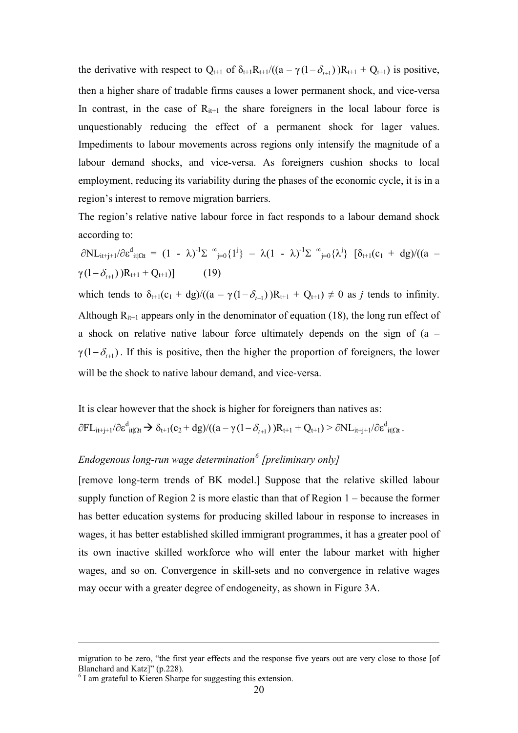the derivative with respect to  $Q_{t+1}$  of  $\delta_{t+1}R_{t+1}/((a - \gamma(1 - \delta_{t+1}))R_{t+1} + Q_{t+1})$  is positive, then a higher share of tradable firms causes a lower permanent shock, and vice-versa In contrast, in the case of  $R_{it+1}$  the share foreigners in the local labour force is unquestionably reducing the effect of a permanent shock for lager values. Impediments to labour movements across regions only intensify the magnitude of a labour demand shocks, and vice-versa. As foreigners cushion shocks to local employment, reducing its variability during the phases of the economic cycle, it is in a region's interest to remove migration barriers.

The region's relative native labour force in fact responds to a labour demand shock according to:

 $\partial NL_{it+j+1}/\partial \varepsilon^d_{it|\Omega t} = (1 - \lambda)^{-1} \Sigma^{\infty}_{j=0} \{1^j\} - \lambda (1 - \lambda)^{-1} \Sigma^{\infty}_{j=0} \{\lambda^j\} [\delta_{t+1}(c_1 + dg)/((a \gamma(1-\delta_{t+1})$  )R<sub>t+1</sub> + Q<sub>t+1</sub>)] (19) which tends to  $\delta_{t+1}(c_1 + dg) / ((a - \gamma(1 - \delta_{t+1}))R_{t+1} + Q_{t+1}) \neq 0$  as *j* tends to infinity. Although  $R_{i+1}$  appears only in the denominator of equation (18), the long run effect of a shock on relative native labour force ultimately depends on the sign of (a –  $\gamma(1-\delta_{t+1})$ . If this is positive, then the higher the proportion of foreigners, the lower will be the shock to native labour demand, and vice-versa.

It is clear however that the shock is higher for foreigners than natives as:  $\partial FL_{it+j+1}/\partial \varepsilon_{it|\Omega t}^d \to \delta_{t+1}(c_2 + dg)/((a - \gamma(1 - \delta_{t+1}))R_{t+1} + Q_{t+1}) > \partial NL_{it+j+1}/\partial \varepsilon_{it|\Omega t}^d$ .

# *Endogenous long-run wage determination[6](#page-19-0) [preliminary only]*

[remove long-term trends of BK model.] Suppose that the relative skilled labour supply function of Region 2 is more elastic than that of Region 1 – because the former has better education systems for producing skilled labour in response to increases in wages, it has better established skilled immigrant programmes, it has a greater pool of its own inactive skilled workforce who will enter the labour market with higher wages, and so on. Convergence in skill-sets and no convergence in relative wages may occur with a greater degree of endogeneity, as shown in Figure 3A.

1

migration to be zero, "the first year effects and the response five years out are very close to those [of Blanchard and Katz]" (p.228).

<span id="page-19-0"></span><sup>&</sup>lt;sup>6</sup> I am grateful to Kieren Sharpe for suggesting this extension.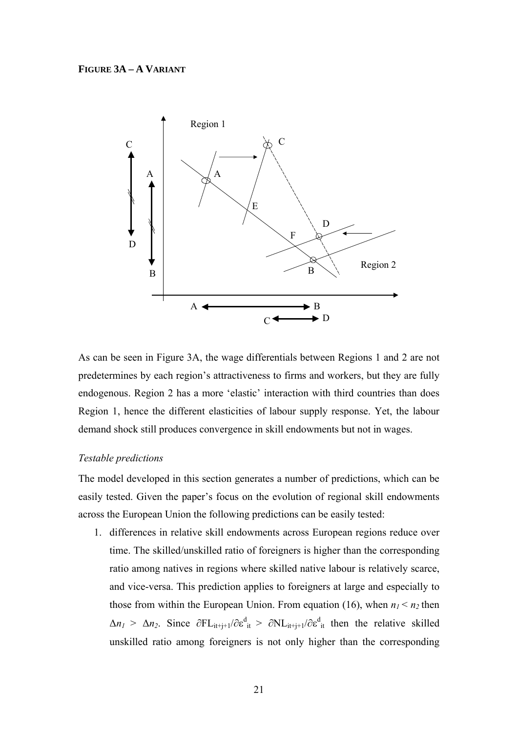# **FIGURE 3A – A VARIANT**



As can be seen in Figure 3A, the wage differentials between Regions 1 and 2 are not predetermines by each region's attractiveness to firms and workers, but they are fully endogenous. Region 2 has a more 'elastic' interaction with third countries than does Region 1, hence the different elasticities of labour supply response. Yet, the labour demand shock still produces convergence in skill endowments but not in wages.

### *Testable predictions*

The model developed in this section generates a number of predictions, which can be easily tested. Given the paper's focus on the evolution of regional skill endowments across the European Union the following predictions can be easily tested:

1. differences in relative skill endowments across European regions reduce over time. The skilled/unskilled ratio of foreigners is higher than the corresponding ratio among natives in regions where skilled native labour is relatively scarce, and vice-versa. This prediction applies to foreigners at large and especially to those from within the European Union. From equation (16), when  $n_1 < n_2$  then  $\Delta n_1 > \Delta n_2$ . Since  $\partial F L_{it+j+1}/\partial \varepsilon_{it}^d > \partial N L_{it+j+1}/\partial \varepsilon_{it}^d$  then the relative skilled unskilled ratio among foreigners is not only higher than the corresponding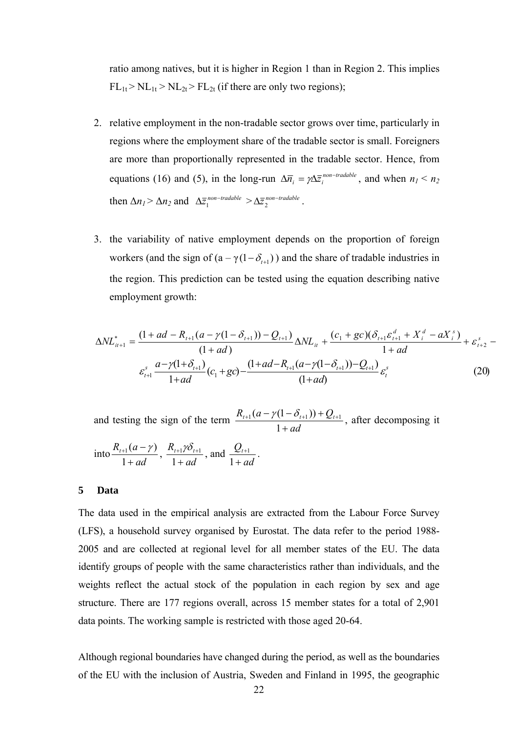ratio among natives, but it is higher in Region 1 than in Region 2. This implies  $FL_{1t} > NL_{1t} > NL_{2t} > FL_{2t}$  (if there are only two regions);

- 2. relative employment in the non-tradable sector grows over time, particularly in regions where the employment share of the tradable sector is small. Foreigners are more than proportionally represented in the tradable sector. Hence, from equations (16) and (5), in the long-run  $\Delta \overline{n}_i = \gamma \Delta \overline{z}_i^{non-tradable}$ , and when  $n_1 < n_2$ then  $\Delta n_1 > \Delta n_2$  and  $\Delta \overline{z}_1^{\text{non-tradable}} > \Delta \overline{z}_2^{\text{non-tradable}}$ .
- 3. the variability of native employment depends on the proportion of foreign workers (and the sign of  $(a - \gamma(1 - \delta_{t+1}))$ ) and the share of tradable industries in the region. This prediction can be tested using the equation describing native employment growth:

$$
\Delta N L_{it+1}^* = \frac{(1+ad - R_{t+1}(a - \gamma(1 - \delta_{t+1})) - Q_{t+1})}{(1+ad)} \Delta N L_{it} + \frac{(c_1 + gc)(\delta_{t+1}\varepsilon_{t+1}^d + X_i^d - aX_i^s)}{1+ad} + \varepsilon_{t+2}^s - \frac{a - \gamma(1+\delta_{t+1})}{1+ad}(c_1 + gc) - \frac{(1+ad - R_{t+1}(a - \gamma(1-\delta_{t+1})) - Q_{t+1})}{(1+ad)} \varepsilon_t^s
$$
(20)

and testing the sign of the term  $\frac{R_{t+1}(a - \gamma(1 - \delta_{t+1})) + Q_t}{1 + ad}$ +  $_{+1}(a - \gamma(1 - \delta_{t+1})) + Q_{t+1}$ 1  $\frac{1}{(a - \gamma(1 - \delta_{t+1})) + Q_{t+1}}$ , after decomposing it

into 
$$
\frac{R_{t+1}(a-\gamma)}{1+ad}
$$
,  $\frac{R_{t+1}\gamma\delta_{t+1}}{1+ad}$ , and  $\frac{Q_{t+1}}{1+ad}$ .

# **5 Data**

The data used in the empirical analysis are extracted from the Labour Force Survey (LFS), a household survey organised by Eurostat. The data refer to the period 1988- 2005 and are collected at regional level for all member states of the EU. The data identify groups of people with the same characteristics rather than individuals, and the weights reflect the actual stock of the population in each region by sex and age structure. There are 177 regions overall, across 15 member states for a total of 2,901 data points. The working sample is restricted with those aged 20-64.

Although regional boundaries have changed during the period, as well as the boundaries of the EU with the inclusion of Austria, Sweden and Finland in 1995, the geographic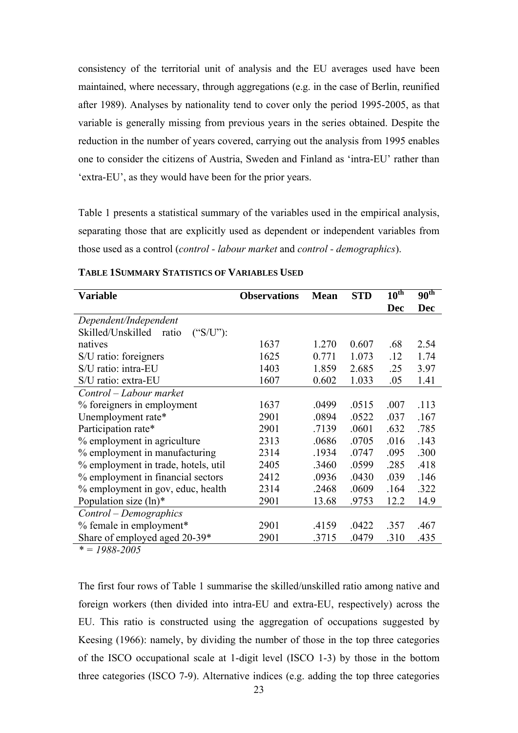consistency of the territorial unit of analysis and the EU averages used have been maintained, where necessary, through aggregations (e.g. in the case of Berlin, reunified after 1989). Analyses by nationality tend to cover only the period 1995-2005, as that variable is generally missing from previous years in the series obtained. Despite the reduction in the number of years covered, carrying out the analysis from 1995 enables one to consider the citizens of Austria, Sweden and Finland as 'intra-EU' rather than 'extra-EU', as they would have been for the prior years.

Table 1 presents a statistical summary of the variables used in the empirical analysis, separating those that are explicitly used as dependent or independent variables from those used as a control (*control - labour market* and *control - demographics*).

| <b>Variable</b>                                          | <b>Observations</b> | <b>Mean</b> | <b>STD</b> | $10^{\overline{\text{th}}}$ | $90^{\text{th}}$ |
|----------------------------------------------------------|---------------------|-------------|------------|-----------------------------|------------------|
|                                                          |                     |             |            | <b>Dec</b>                  | <b>Dec</b>       |
| Dependent/Independent                                    |                     |             |            |                             |                  |
| Skilled/Unskilled<br>$(^{\circ}S/U^{\prime})$ :<br>ratio |                     |             |            |                             |                  |
| natives                                                  | 1637                | 1.270       | 0.607      | .68                         | 2.54             |
| S/U ratio: foreigners                                    | 1625                | 0.771       | 1.073      | .12                         | 1.74             |
| S/U ratio: intra-EU                                      | 1403                | 1.859       | 2.685      | .25                         | 3.97             |
| S/U ratio: extra-EU                                      | 1607                | 0.602       | 1.033      | .05                         | 1.41             |
| Control – Labour market                                  |                     |             |            |                             |                  |
| % foreigners in employment                               | 1637                | .0499       | .0515      | .007                        | .113             |
| Unemployment rate*                                       | 2901                | .0894       | .0522      | .037                        | .167             |
| Participation rate*                                      | 2901                | .7139       | .0601      | .632                        | .785             |
| % employment in agriculture                              | 2313                | .0686       | .0705      | .016                        | .143             |
| % employment in manufacturing                            | 2314                | .1934       | .0747      | .095                        | .300             |
| % employment in trade, hotels, util                      | 2405                | .3460       | .0599      | .285                        | .418             |
| % employment in financial sectors                        | 2412                | .0936       | .0430      | .039                        | .146             |
| % employment in gov, educ, health                        | 2314                | .2468       | .0609      | .164                        | .322             |
| Population size $(ln)*$                                  | 2901                | 13.68       | .9753      | 12.2                        | 14.9             |
| Control – Demographics                                   |                     |             |            |                             |                  |
| % female in employment*                                  | 2901                | .4159       | .0422      | .357                        | .467             |
| Share of employed aged 20-39*                            | 2901                | .3715       | .0479      | .310                        | .435             |

# **TABLE 1 SUMMARY STATISTICS OF VARIABLES USED**

*\* = 1988-2005* 

The first four rows of Table 1 summarise the skilled/unskilled ratio among native and foreign workers (then divided into intra-EU and extra-EU, respectively) across the EU. This ratio is constructed using the aggregation of occupations suggested by Keesing (1966): namely, by dividing the number of those in the top three categories of the ISCO occupational scale at 1-digit level (ISCO 1-3) by those in the bottom three categories (ISCO 7-9). Alternative indices (e.g. adding the top three categories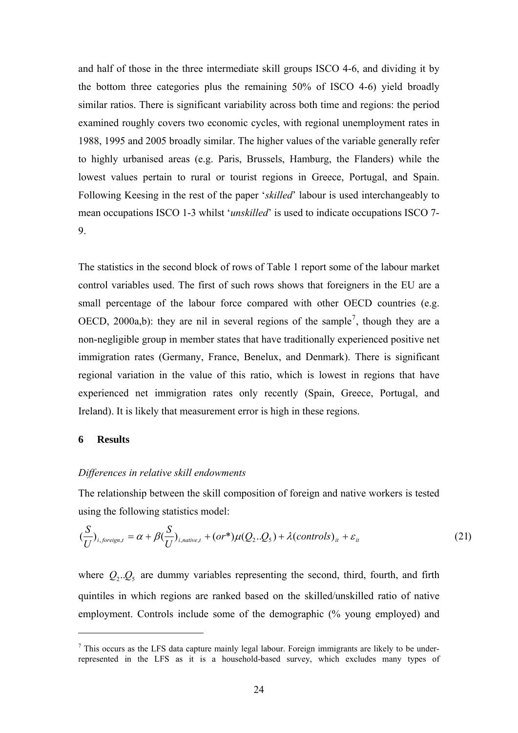and half of those in the three intermediate skill groups ISCO 4-6, and dividing it by the bottom three categories plus the remaining 50% of ISCO 4-6) yield broadly similar ratios. There is significant variability across both time and regions: the period examined roughly covers two economic cycles, with regional unemployment rates in 1988, 1995 and 2005 broadly similar. The higher values of the variable generally refer to highly urbanised areas (e.g. Paris, Brussels, Hamburg, the Flanders) while the lowest values pertain to rural or tourist regions in Greece, Portugal, and Spain. Following Keesing in the rest of the paper '*skilled*' labour is used interchangeably to mean occupations ISCO 1-3 whilst '*unskilled*' is used to indicate occupations ISCO 7- 9.

The statistics in the second block of rows of Table 1 report some of the labour market control variables used. The first of such rows shows that foreigners in the EU are a small percentage of the labour force compared with other OECD countries (e.g. OECD, 2000a,b): they are nil in several regions of the sample<sup>[7](#page-23-0)</sup>, though they are a non-negligible group in member states that have traditionally experienced positive net immigration rates (Germany, France, Benelux, and Denmark). There is significant regional variation in the value of this ratio, which is lowest in regions that have experienced net immigration rates only recently (Spain, Greece, Portugal, and Ireland). It is likely that measurement error is high in these regions.

# **6 Results**

<u>.</u>

### *Differences in relative skill endowments*

The relationship between the skill composition of foreign and native workers is tested using the following statistics model:

$$
(\frac{S}{U})_{i, \text{foreign}, t} = \alpha + \beta (\frac{S}{U})_{i, \text{native}, t} + (or^*)\mu(Q_2..Q_5) + \lambda (controls)_{it} + \varepsilon_{it}
$$
\n(21)

where  $Q_2 \cdot Q_5$  are dummy variables representing the second, third, fourth, and firth quintiles in which regions are ranked based on the skilled/unskilled ratio of native employment. Controls include some of the demographic (% young employed) and

<span id="page-23-0"></span><sup>&</sup>lt;sup>7</sup> This occurs as the LFS data capture mainly legal labour. Foreign immigrants are likely to be underrepresented in the LFS as it is a household-based survey, which excludes many types of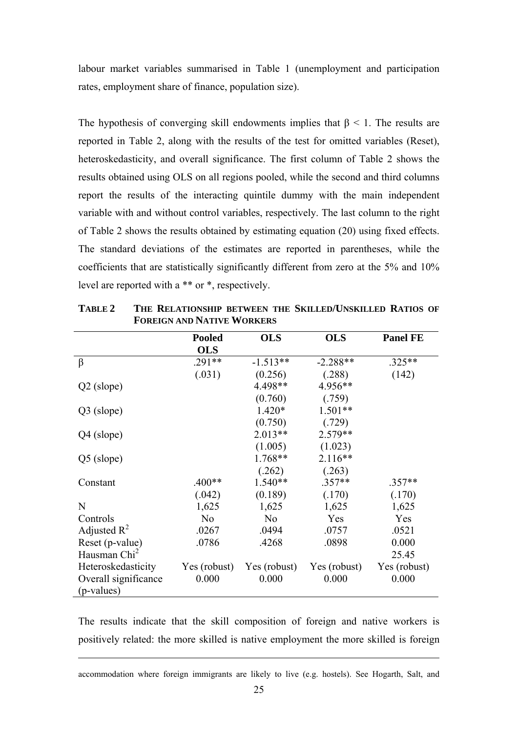labour market variables summarised in Table 1 (unemployment and participation rates, employment share of finance, population size).

The hypothesis of converging skill endowments implies that  $\beta$  < 1. The results are reported in Table 2, along with the results of the test for omitted variables (Reset), heteroskedasticity, and overall significance. The first column of Table 2 shows the results obtained using OLS on all regions pooled, while the second and third columns report the results of the interacting quintile dummy with the main independent variable with and without control variables, respectively. The last column to the right of Table 2 shows the results obtained by estimating equation (20) using fixed effects. The standard deviations of the estimates are reported in parentheses, while the coefficients that are statistically significantly different from zero at the 5% and 10% level are reported with a \*\* or \*, respectively.

|                          | <b>Pooled</b><br><b>OLS</b> | <b>OLS</b>     | <b>OLS</b>   | <b>Panel FE</b> |
|--------------------------|-----------------------------|----------------|--------------|-----------------|
|                          | $.291**$                    | $-1.513**$     | $-2.288**$   | $.325**$        |
| β                        |                             |                |              |                 |
|                          | (.031)                      | (0.256)        | (.288)       | (142)           |
| $Q2$ (slope)             |                             | 4.498**        | 4.956**      |                 |
|                          |                             | (0.760)        | (.759)       |                 |
| Q3 (slope)               |                             | $1.420*$       | $1.501**$    |                 |
|                          |                             | (0.750)        | (.729)       |                 |
| Q4 (slope)               |                             | $2.013**$      | $2.579**$    |                 |
|                          |                             | (1.005)        | (1.023)      |                 |
| Q5 (slope)               |                             | 1.768**        | $2.116**$    |                 |
|                          |                             | (.262)         | (.263)       |                 |
| Constant                 | .400**                      | 1.540**        | $.357**$     | $.357**$        |
|                          | (.042)                      | (0.189)        | (.170)       | (.170)          |
| N                        | 1,625                       | 1,625          | 1,625        | 1,625           |
| Controls                 | N <sub>0</sub>              | N <sub>0</sub> | Yes          | Yes             |
| Adjusted $\mathbb{R}^2$  | .0267                       | .0494          | .0757        | .0521           |
| Reset (p-value)          | .0786                       | .4268          | .0898        | 0.000           |
| Hausman Chi <sup>2</sup> |                             |                |              | 25.45           |
| Heteroskedasticity       | Yes (robust)                | Yes (robust)   | Yes (robust) | Yes (robust)    |
| Overall significance     | 0.000                       | 0.000          | 0.000        | 0.000           |
| (p-values)               |                             |                |              |                 |

**TABLE 2 THE RELATIONSHIP BETWEEN THE SKILLED/UNSKILLED RATIOS OF FOREIGN AND NATIVE WORKERS**

The results indicate that the skill composition of foreign and native workers is positively related: the more skilled is native employment the more skilled is foreign

accommodation where foreign immigrants are likely to live (e.g. hostels). See Hogarth, Salt, and

1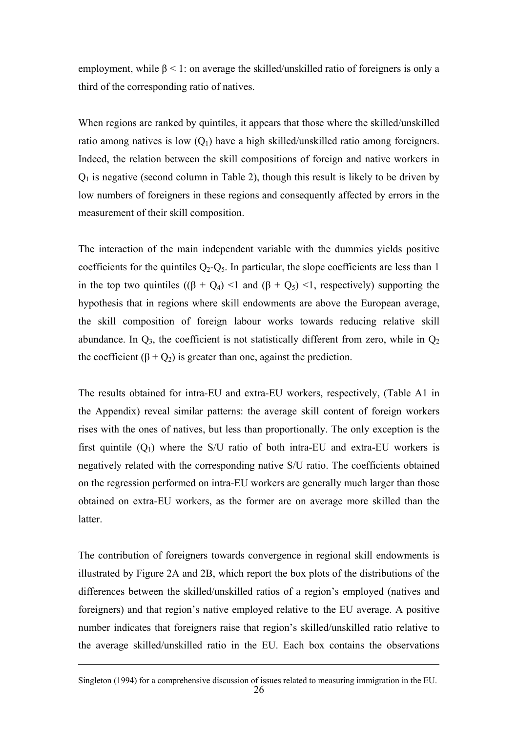employment, while  $\beta$  < 1: on average the skilled/unskilled ratio of foreigners is only a third of the corresponding ratio of natives.

When regions are ranked by quintiles, it appears that those where the skilled/unskilled ratio among natives is low  $(Q_1)$  have a high skilled/unskilled ratio among foreigners. Indeed, the relation between the skill compositions of foreign and native workers in  $Q_1$  is negative (second column in Table 2), though this result is likely to be driven by low numbers of foreigners in these regions and consequently affected by errors in the measurement of their skill composition.

The interaction of the main independent variable with the dummies yields positive coefficients for the quintiles  $Q_2 - Q_5$ . In particular, the slope coefficients are less than 1 in the top two quintiles  $((\beta + Q_4) \leq 1$  and  $(\beta + Q_5) \leq 1$ , respectively) supporting the hypothesis that in regions where skill endowments are above the European average, the skill composition of foreign labour works towards reducing relative skill abundance. In  $Q_3$ , the coefficient is not statistically different from zero, while in  $Q_2$ the coefficient  $(\beta + Q_2)$  is greater than one, against the prediction.

The results obtained for intra-EU and extra-EU workers, respectively, (Table A1 in the Appendix) reveal similar patterns: the average skill content of foreign workers rises with the ones of natives, but less than proportionally. The only exception is the first quintile  $(Q_1)$  where the S/U ratio of both intra-EU and extra-EU workers is negatively related with the corresponding native S/U ratio. The coefficients obtained on the regression performed on intra-EU workers are generally much larger than those obtained on extra-EU workers, as the former are on average more skilled than the latter.

The contribution of foreigners towards convergence in regional skill endowments is illustrated by Figure 2A and 2B, which report the box plots of the distributions of the differences between the skilled/unskilled ratios of a region's employed (natives and foreigners) and that region's native employed relative to the EU average. A positive number indicates that foreigners raise that region's skilled/unskilled ratio relative to the average skilled/unskilled ratio in the EU. Each box contains the observations

1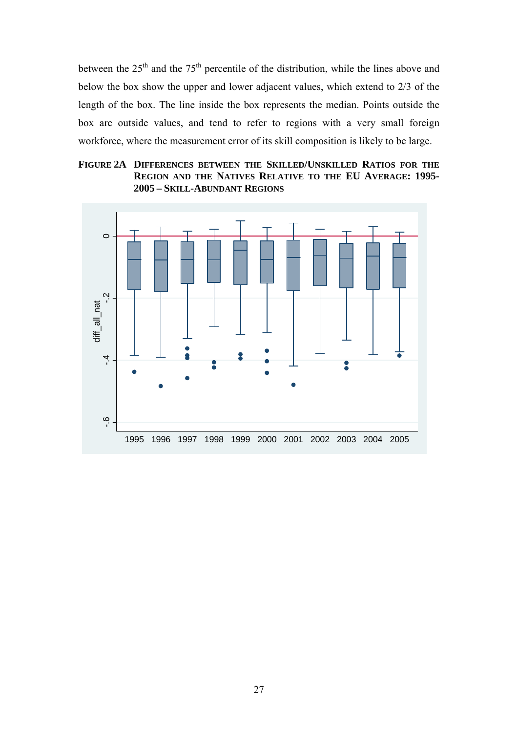between the  $25<sup>th</sup>$  and the  $75<sup>th</sup>$  percentile of the distribution, while the lines above and below the box show the upper and lower adjacent values, which extend to 2/3 of the length of the box. The line inside the box represents the median. Points outside the box are outside values, and tend to refer to regions with a very small foreign workforce, where the measurement error of its skill composition is likely to be large.

# **FIGURE 2A DIFFERENCES BETWEEN THE SKILLED/UNSKILLED RATIOS FOR THE REGION AND THE NATIVES RELATIVE TO THE EU AVERAGE: 1995- 2005 – SKILL-ABUNDANT REGIONS**

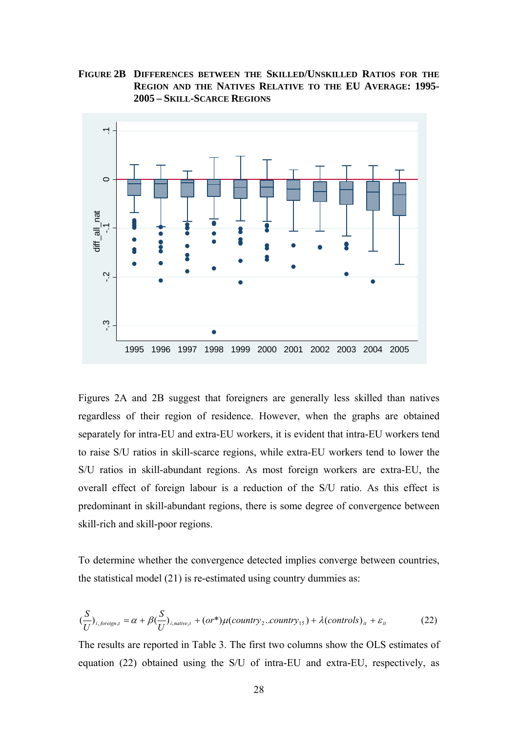**FIGURE 2B DIFFERENCES BETWEEN THE SKILLED/UNSKILLED RATIOS FOR THE REGION AND THE NATIVES RELATIVE TO THE EU AVERAGE: 1995- 2005 – SKILL-SCARCE REGIONS**



Figures 2A and 2B suggest that foreigners are generally less skilled than natives regardless of their region of residence. However, when the graphs are obtained separately for intra-EU and extra-EU workers, it is evident that intra-EU workers tend to raise S/U ratios in skill-scarce regions, while extra-EU workers tend to lower the S/U ratios in skill-abundant regions. As most foreign workers are extra-EU, the overall effect of foreign labour is a reduction of the S/U ratio. As this effect is predominant in skill-abundant regions, there is some degree of convergence between skill-rich and skill-poor regions.

To determine whether the convergence detected implies converge between countries, the statistical model (21) is re-estimated using country dummies as:

$$
(\frac{S}{U})_{i, \text{foreign}, t} = \alpha + \beta (\frac{S}{U})_{i, \text{native}, t} + (or^*)\mu (country_2 \dots country_{15}) + \lambda (controls)_{it} + \varepsilon_{it}
$$
 (22)

The results are reported in Table 3. The first two columns show the OLS estimates of equation (22) obtained using the S/U of intra-EU and extra-EU, respectively, as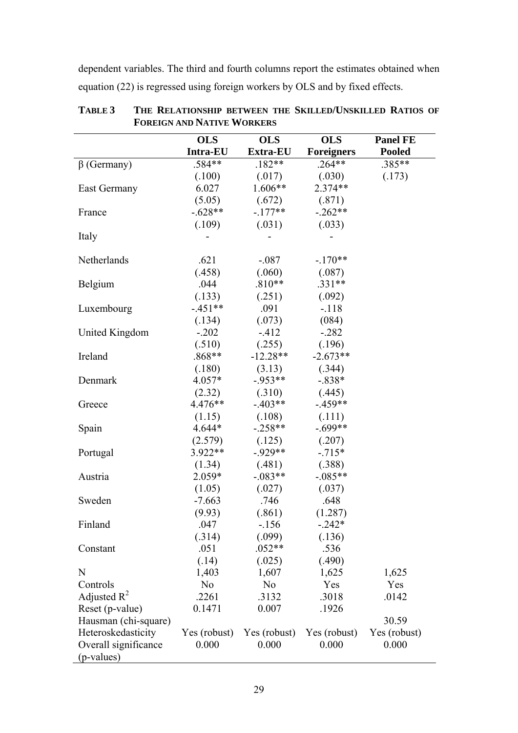dependent variables. The third and fourth columns report the estimates obtained when equation (22) is regressed using foreign workers by OLS and by fixed effects.

|                      | <b>OLS</b>      | <b>OLS</b>     | <b>OLS</b>        | <b>Panel FE</b> |
|----------------------|-----------------|----------------|-------------------|-----------------|
|                      | <b>Intra-EU</b> | Extra-EU       | <b>Foreigners</b> | <b>Pooled</b>   |
| $\beta$ (Germany)    | $.584**$        | $.182**$       | $.264**$          | .385**          |
|                      | (.100)          | (.017)         | (.030)            | (.173)          |
| East Germany         | 6.027           | $1.606**$      | $2.374**$         |                 |
|                      | (5.05)          | (.672)         | (.871)            |                 |
| France               | $-.628**$       | $-177**$       | $-.262**$         |                 |
|                      | (.109)          | (.031)         | (.033)            |                 |
| Italy                |                 |                |                   |                 |
|                      |                 |                |                   |                 |
| Netherlands          | .621            | $-.087$        | $-.170**$         |                 |
|                      | (.458)          | (.060)         | (.087)            |                 |
| Belgium              | .044            | $.810**$       | .331**            |                 |
|                      | (.133)          | (.251)         | (.092)            |                 |
| Luxembourg           | $-451**$        | .091           | $-118$            |                 |
|                      | (.134)          | (.073)         | (084)             |                 |
| United Kingdom       | $-.202$         | $-412$         | $-.282$           |                 |
|                      | (.510)          | (.255)         | (.196)            |                 |
| Ireland              | $.868**$        | $-12.28**$     | $-2.673**$        |                 |
|                      | (.180)          | (3.13)         | (.344)            |                 |
| Denmark              | $4.057*$        | $-953**$       | $-.838*$          |                 |
|                      | (2.32)          | (.310)         | (.445)            |                 |
| Greece               | $4.476**$       | $-403**$       | $-459**$          |                 |
|                      | (1.15)          | (.108)         | (.111)            |                 |
| Spain                | $4.644*$        | $-.258**$      | $-.699**$         |                 |
|                      | (2.579)         | (.125)         | (.207)            |                 |
| Portugal             | $3.922**$       | $-929**$       | $-.715*$          |                 |
|                      | (1.34)          | (.481)         | (.388)            |                 |
| Austria              | $2.059*$        | $-0.083**$     | $-.085**$         |                 |
|                      | (1.05)          | (.027)         | (.037)            |                 |
| Sweden               | $-7.663$        | .746           | .648              |                 |
|                      | (9.93)          | (.861)         | (1.287)           |                 |
| Finland              | .047            | $-156$         | $-.242*$          |                 |
|                      | (.314)          | (.099)         | (.136)            |                 |
| Constant             | .051            | $.052**$       | .536              |                 |
|                      | (.14)           | (.025)         | (.490)            |                 |
| N                    | 1,403           | 1,607          | 1,625             | 1,625           |
| Controls             | N <sub>0</sub>  | N <sub>o</sub> | Yes               | Yes             |
| Adjusted $R^2$       | .2261           | .3132          | .3018             | .0142           |
| Reset (p-value)      | 0.1471          | 0.007          | .1926             |                 |
| Hausman (chi-square) |                 |                |                   | 30.59           |
| Heteroskedasticity   | Yes (robust)    | Yes (robust)   | Yes (robust)      | Yes (robust)    |
| Overall significance | 0.000           | 0.000          | 0.000             | 0.000           |
| (p-values)           |                 |                |                   |                 |

**TABLE 3 THE RELATIONSHIP BETWEEN THE SKILLED/UNSKILLED RATIOS OF FOREIGN AND NATIVE WORKERS**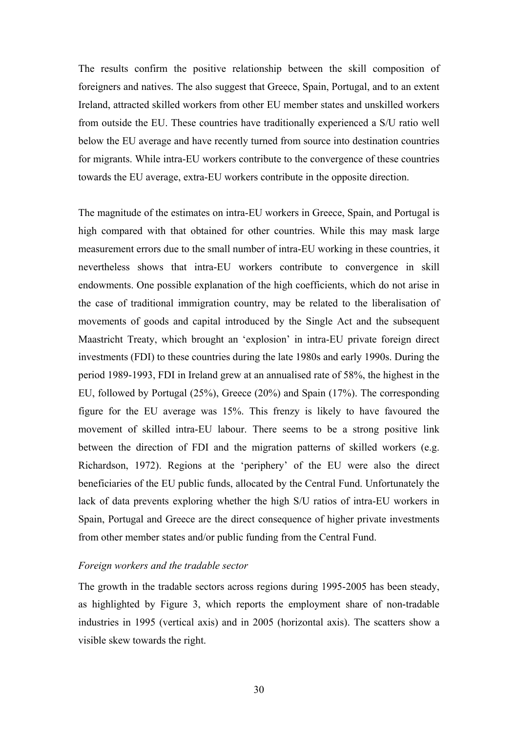The results confirm the positive relationship between the skill composition of foreigners and natives. The also suggest that Greece, Spain, Portugal, and to an extent Ireland, attracted skilled workers from other EU member states and unskilled workers from outside the EU. These countries have traditionally experienced a S/U ratio well below the EU average and have recently turned from source into destination countries for migrants. While intra-EU workers contribute to the convergence of these countries towards the EU average, extra-EU workers contribute in the opposite direction.

The magnitude of the estimates on intra-EU workers in Greece, Spain, and Portugal is high compared with that obtained for other countries. While this may mask large measurement errors due to the small number of intra-EU working in these countries, it nevertheless shows that intra-EU workers contribute to convergence in skill endowments. One possible explanation of the high coefficients, which do not arise in the case of traditional immigration country, may be related to the liberalisation of movements of goods and capital introduced by the Single Act and the subsequent Maastricht Treaty, which brought an 'explosion' in intra-EU private foreign direct investments (FDI) to these countries during the late 1980s and early 1990s. During the period 1989-1993, FDI in Ireland grew at an annualised rate of 58%, the highest in the EU, followed by Portugal (25%), Greece (20%) and Spain (17%). The corresponding figure for the EU average was 15%. This frenzy is likely to have favoured the movement of skilled intra-EU labour. There seems to be a strong positive link between the direction of FDI and the migration patterns of skilled workers (e.g. Richardson, 1972). Regions at the 'periphery' of the EU were also the direct beneficiaries of the EU public funds, allocated by the Central Fund. Unfortunately the lack of data prevents exploring whether the high S/U ratios of intra-EU workers in Spain, Portugal and Greece are the direct consequence of higher private investments from other member states and/or public funding from the Central Fund.

# *Foreign workers and the tradable sector*

The growth in the tradable sectors across regions during 1995-2005 has been steady, as highlighted by Figure 3, which reports the employment share of non-tradable industries in 1995 (vertical axis) and in 2005 (horizontal axis). The scatters show a visible skew towards the right.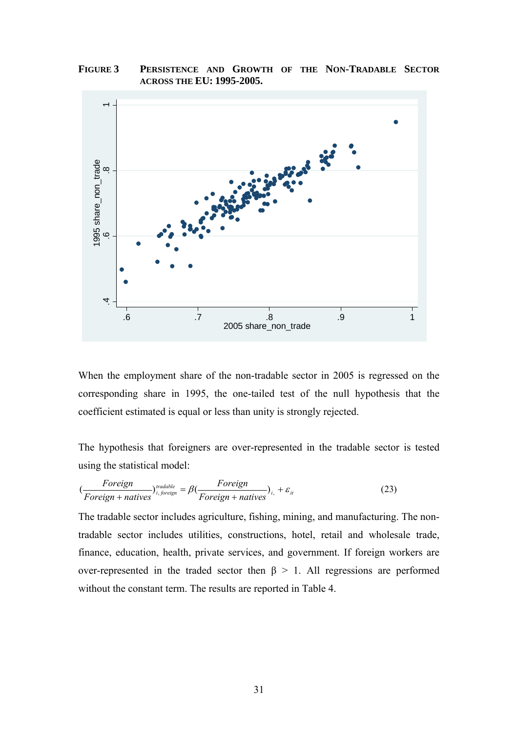**FIGURE 3 PERSISTENCE AND GROWTH OF THE NON-TRADABLE SECTOR ACROSS THE EU: 1995-2005.** 



When the employment share of the non-tradable sector in 2005 is regressed on the corresponding share in 1995, the one-tailed test of the null hypothesis that the coefficient estimated is equal or less than unity is strongly rejected.

The hypothesis that foreigners are over-represented in the tradable sector is tested using the statistical model:

$$
(\frac{For eigen}{For eigen + natives})_{i, \text{foreign}}^{tradable} = \beta(\frac{For eigen}{For eigen + natives})_{i,} + \varepsilon_{i}
$$
\n(23)

The tradable sector includes agriculture, fishing, mining, and manufacturing. The nontradable sector includes utilities, constructions, hotel, retail and wholesale trade, finance, education, health, private services, and government. If foreign workers are over-represented in the traded sector then  $\beta > 1$ . All regressions are performed without the constant term. The results are reported in Table 4.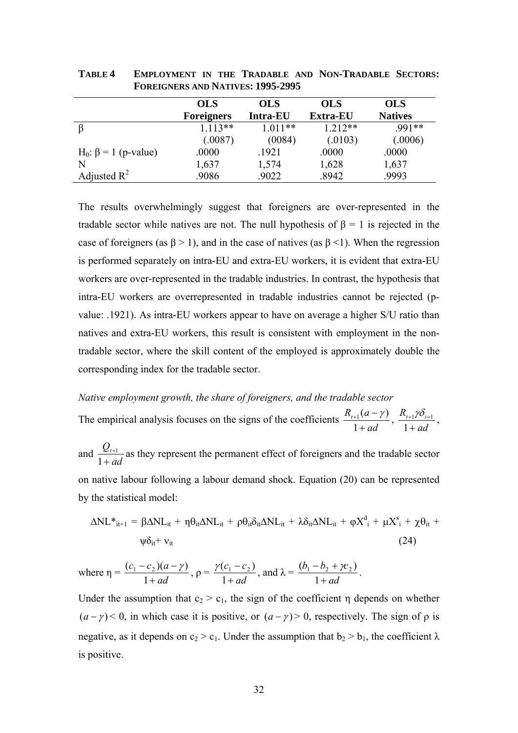|                                        | <b>OLS</b>        | <b>OLS</b>      | <b>OLS</b>      | <b>OLS</b>     |
|----------------------------------------|-------------------|-----------------|-----------------|----------------|
|                                        | <b>Foreigners</b> | <b>Intra-EU</b> | <b>Extra-EU</b> | <b>Natives</b> |
|                                        | $1.113**$         | $1.011**$       | $1.212**$       | .991**         |
|                                        | (.0087)           | (0084)          | (.0103)         | (.0006)        |
| H <sub>0</sub> : $\beta$ = 1 (p-value) | .0000             | .1921           | .0000           | .0000          |
| N                                      | 1,637             | 1,574           | 1,628           | 1,637          |
| Adjusted $R^2$                         | .9086             | .9022           | .8942           | .9993          |

**TABLE 4 EMPLOYMENT IN THE TRADABLE AND NON-TRADABLE SECTORS: FOREIGNERS AND NATIVES: 1995-2995** 

The results overwhelmingly suggest that foreigners are over-represented in the tradable sector while natives are not. The null hypothesis of  $\beta = 1$  is rejected in the case of foreigners (as  $\beta > 1$ ), and in the case of natives (as  $\beta < 1$ ). When the regression is performed separately on intra-EU and extra-EU workers, it is evident that extra-EU workers are over-represented in the tradable industries. In contrast, the hypothesis that intra-EU workers are overrepresented in tradable industries cannot be rejected (pvalue: .1921). As intra-EU workers appear to have on average a higher S/U ratio than natives and extra-EU workers, this result is consistent with employment in the nontradable sector, where the skill content of the employed is approximately double the corresponding index for the tradable sector.

# *Native employment growth, the share of foreigners, and the tradable sector*

The empirical analysis focuses on the signs of the coefficients  $\frac{R_{t+1}(a-1)}{1+ad}$ +  $_{+1}$  (a –  $\frac{1}{1 + ad}$ ,  $\frac{R_{t+1}\gamma\delta_t}{1 + ad}$ + + $1/U_{t+}$ 1  $\frac{1}{2}$ <sup>1</sup> $\delta$ <sub>t+1</sub></sup>,

and *ad*  $Q_{t}$ + + 1  $\frac{1}{2}$  as they represent the permanent effect of foreigners and the tradable sector on native labour following a labour demand shock. Equation (20) can be represented by the statistical model:

$$
\Delta NL^*{}_{it+1} = \beta \Delta NL_{it} + \eta \theta_{it} \Delta NL_{it} + \rho \theta_{it} \delta_{it} \Delta NL_{it} + \lambda \delta_{it} \Delta NL_{it} + \varphi X^d{}_{i} + \mu X^s{}_{i} + \chi \theta_{it} + \psi \delta_{it} + \nu_{it}
$$
\n(24)

where  $\eta =$ *ad*  $c_1 - c_2$ )(*a* +  $-c<sub>2</sub>$ )(a – 1  $\frac{(c_1 - c_2)(a - \gamma)}{1}$ ,  $\rho =$ *ad*  $c_1 - c$ + − 1  $\frac{\gamma(c_1 - c_2)}{1}$ , and  $\lambda =$ *ad*  $b_1 - b_2 + \gamma c$ +  $-b, +$ 1  $\frac{(b_1 - b_2 + \gamma c_2)}{1}$ .

Under the assumption that  $c_2 > c_1$ , the sign of the coefficient  $\eta$  depends on whether  $(a - \gamma)$  < 0, in which case it is positive, or  $(a - \gamma)$  > 0, respectively. The sign of  $\rho$  is negative, as it depends on  $c_2 > c_1$ . Under the assumption that  $b_2 > b_1$ , the coefficient  $\lambda$ is positive.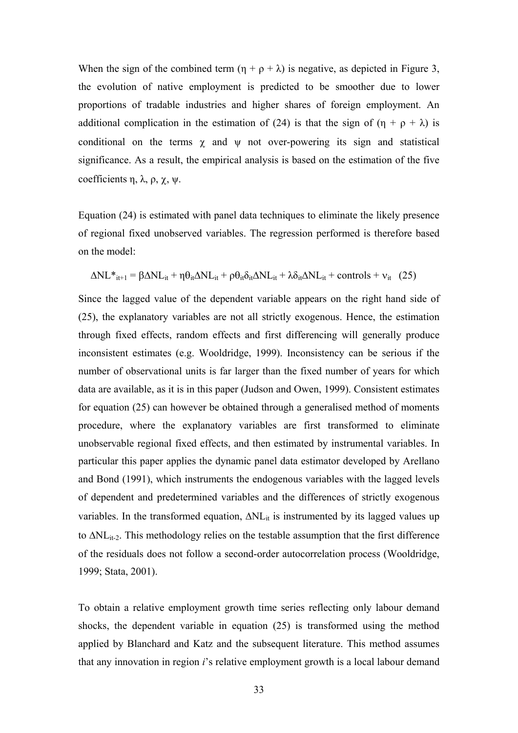When the sign of the combined term  $(\eta + \rho + \lambda)$  is negative, as depicted in Figure 3, the evolution of native employment is predicted to be smoother due to lower proportions of tradable industries and higher shares of foreign employment. An additional complication in the estimation of (24) is that the sign of  $(\eta + \rho + \lambda)$  is conditional on the terms  $\chi$  and  $\psi$  not over-powering its sign and statistical significance. As a result, the empirical analysis is based on the estimation of the five coefficients η,  $\lambda$ ,  $\rho$ ,  $\chi$ ,  $\psi$ .

Equation (24) is estimated with panel data techniques to eliminate the likely presence of regional fixed unobserved variables. The regression performed is therefore based on the model:

$$
\Delta NL*_{it+1} = \beta \Delta NL_{it} + \eta \theta_{it} \Delta NL_{it} + \rho \theta_{it} \delta_{it} \Delta NL_{it} + \lambda \delta_{it} \Delta NL_{it} + controls + v_{it} (25)
$$

Since the lagged value of the dependent variable appears on the right hand side of (25), the explanatory variables are not all strictly exogenous. Hence, the estimation through fixed effects, random effects and first differencing will generally produce inconsistent estimates (e.g. Wooldridge, 1999). Inconsistency can be serious if the number of observational units is far larger than the fixed number of years for which data are available, as it is in this paper (Judson and Owen, 1999). Consistent estimates for equation (25) can however be obtained through a generalised method of moments procedure, where the explanatory variables are first transformed to eliminate unobservable regional fixed effects, and then estimated by instrumental variables. In particular this paper applies the dynamic panel data estimator developed by Arellano and Bond (1991), which instruments the endogenous variables with the lagged levels of dependent and predetermined variables and the differences of strictly exogenous variables. In the transformed equation,  $\Delta NL_{it}$  is instrumented by its lagged values up to  $\Delta NL$ <sub>it-2</sub>. This methodology relies on the testable assumption that the first difference of the residuals does not follow a second-order autocorrelation process (Wooldridge, 1999; Stata, 2001).

To obtain a relative employment growth time series reflecting only labour demand shocks, the dependent variable in equation (25) is transformed using the method applied by Blanchard and Katz and the subsequent literature. This method assumes that any innovation in region *i*'s relative employment growth is a local labour demand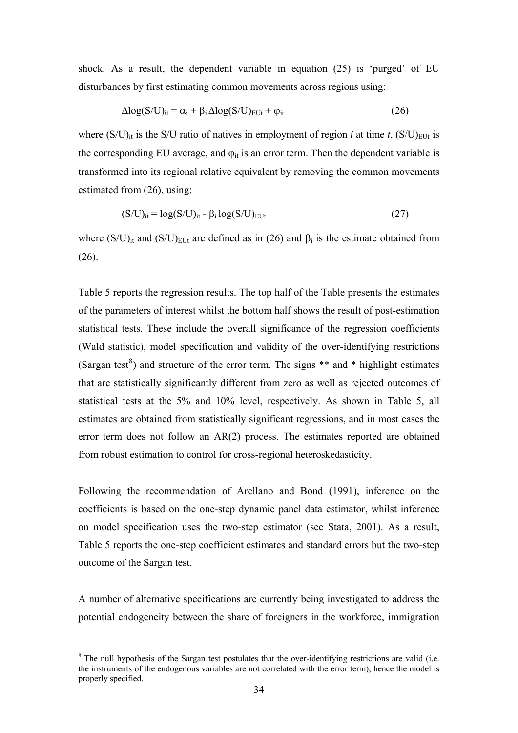shock. As a result, the dependent variable in equation (25) is 'purged' of EU disturbances by first estimating common movements across regions using:

$$
\Delta \log(S/U)_{it} = \alpha_i + \beta_i \Delta \log(S/U)_{\text{EUt}} + \varphi_{it} \tag{26}
$$

where  $(S/U)_{it}$  is the S/U ratio of natives in employment of region *i* at time *t*,  $(S/U)_{EUI}$  is the corresponding EU average, and  $\varphi_{it}$  is an error term. Then the dependent variable is transformed into its regional relative equivalent by removing the common movements estimated from (26), using:

$$
(S/U)_{it} = \log(S/U)_{it} - \beta_i \log(S/U)_{EUt}
$$
\n(27)

where  $(S/U)_{it}$  and  $(S/U)_{EUt}$  are defined as in (26) and  $\beta_i$  is the estimate obtained from (26).

Table 5 reports the regression results. The top half of the Table presents the estimates of the parameters of interest whilst the bottom half shows the result of post-estimation statistical tests. These include the overall significance of the regression coefficients (Wald statistic), model specification and validity of the over-identifying restrictions (Sargan test<sup>[8](#page-33-0)</sup>) and structure of the error term. The signs  $**$  and  $*$  highlight estimates that are statistically significantly different from zero as well as rejected outcomes of statistical tests at the 5% and 10% level, respectively. As shown in Table 5, all estimates are obtained from statistically significant regressions, and in most cases the error term does not follow an AR(2) process. The estimates reported are obtained from robust estimation to control for cross-regional heteroskedasticity.

Following the recommendation of Arellano and Bond (1991), inference on the coefficients is based on the one-step dynamic panel data estimator, whilst inference on model specification uses the two-step estimator (see Stata, 2001). As a result, Table 5 reports the one-step coefficient estimates and standard errors but the two-step outcome of the Sargan test.

A number of alternative specifications are currently being investigated to address the potential endogeneity between the share of foreigners in the workforce, immigration

1

<span id="page-33-0"></span><sup>&</sup>lt;sup>8</sup> The null hypothesis of the Sargan test postulates that the over-identifying restrictions are valid (i.e. the instruments of the endogenous variables are not correlated with the error term), hence the model is properly specified.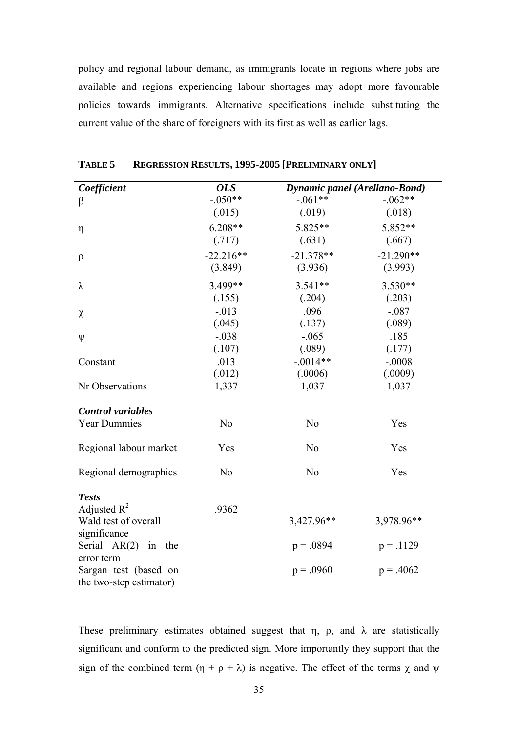policy and regional labour demand, as immigrants locate in regions where jobs are available and regions experiencing labour shortages may adopt more favourable policies towards immigrants. Alternative specifications include substituting the current value of the share of foreigners with its first as well as earlier lags.

| Coefficient              | <b>OLS</b>     | Dynamic panel (Arellano-Bond) |             |
|--------------------------|----------------|-------------------------------|-------------|
| $\beta$                  | $-.050**$      | $-.061**$                     | $-.062**$   |
|                          | (.015)         | (.019)                        | (.018)      |
| η                        | $6.208**$      | 5.825**                       | 5.852**     |
|                          | (.717)         | (.631)                        | (.667)      |
| $\rho$                   | $-22.216**$    | $-21.378**$                   | $-21.290**$ |
|                          | (3.849)        | (3.936)                       | (3.993)     |
| λ                        | 3.499**        | $3.541**$                     | $3.530**$   |
|                          | (.155)         | (.204)                        | (.203)      |
| χ                        | $-0.013$       | .096                          | $-.087$     |
|                          | (.045)         | (.137)                        | (.089)      |
| ψ                        | $-.038$        | $-.065$                       | .185        |
|                          | (.107)         | (.089)                        | (.177)      |
| Constant                 | .013           | $-.0014**$                    | $-.0008$    |
|                          | (.012)         | (.0006)                       | (.0009)     |
| Nr Observations          | 1,337          | 1,037                         | 1,037       |
| <b>Control</b> variables |                |                               |             |
| <b>Year Dummies</b>      | N <sub>o</sub> | N <sub>o</sub>                | Yes         |
|                          |                |                               |             |
| Regional labour market   | Yes            | N <sub>o</sub>                | Yes         |
|                          | N <sub>o</sub> | N <sub>o</sub>                | Yes         |
| Regional demographics    |                |                               |             |
| <b>Tests</b>             |                |                               |             |
| Adjusted $R^2$           | .9362          |                               |             |
| Wald test of overall     |                | 3,427.96**                    | 3,978.96**  |
| significance             |                |                               |             |
| Serial $AR(2)$ in the    |                | $p = .0894$                   | $p = .1129$ |
| error term               |                |                               |             |
| Sargan test (based on    |                | $p = .0960$                   | $p = .4062$ |
| the two-step estimator)  |                |                               |             |

**TABLE 5 REGRESSION RESULTS, 1995-2005 [PRELIMINARY ONLY]** 

These preliminary estimates obtained suggest that  $\eta$ ,  $\rho$ , and  $\lambda$  are statistically significant and conform to the predicted sign. More importantly they support that the sign of the combined term  $(\eta + \rho + \lambda)$  is negative. The effect of the terms  $\chi$  and  $\psi$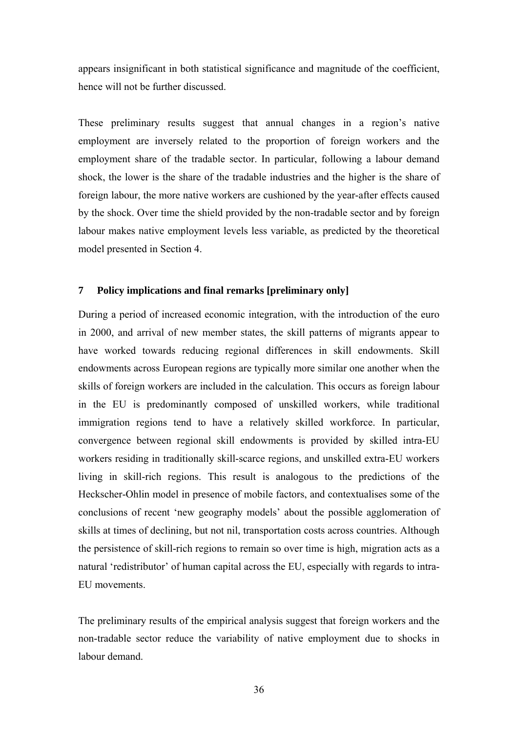appears insignificant in both statistical significance and magnitude of the coefficient, hence will not be further discussed.

These preliminary results suggest that annual changes in a region's native employment are inversely related to the proportion of foreign workers and the employment share of the tradable sector. In particular, following a labour demand shock, the lower is the share of the tradable industries and the higher is the share of foreign labour, the more native workers are cushioned by the year-after effects caused by the shock. Over time the shield provided by the non-tradable sector and by foreign labour makes native employment levels less variable, as predicted by the theoretical model presented in Section 4.

# **7 Policy implications and final remarks [preliminary only]**

During a period of increased economic integration, with the introduction of the euro in 2000, and arrival of new member states, the skill patterns of migrants appear to have worked towards reducing regional differences in skill endowments. Skill endowments across European regions are typically more similar one another when the skills of foreign workers are included in the calculation. This occurs as foreign labour in the EU is predominantly composed of unskilled workers, while traditional immigration regions tend to have a relatively skilled workforce. In particular, convergence between regional skill endowments is provided by skilled intra-EU workers residing in traditionally skill-scarce regions, and unskilled extra-EU workers living in skill-rich regions. This result is analogous to the predictions of the Heckscher-Ohlin model in presence of mobile factors, and contextualises some of the conclusions of recent 'new geography models' about the possible agglomeration of skills at times of declining, but not nil, transportation costs across countries. Although the persistence of skill-rich regions to remain so over time is high, migration acts as a natural 'redistributor' of human capital across the EU, especially with regards to intra-EU movements.

The preliminary results of the empirical analysis suggest that foreign workers and the non-tradable sector reduce the variability of native employment due to shocks in labour demand.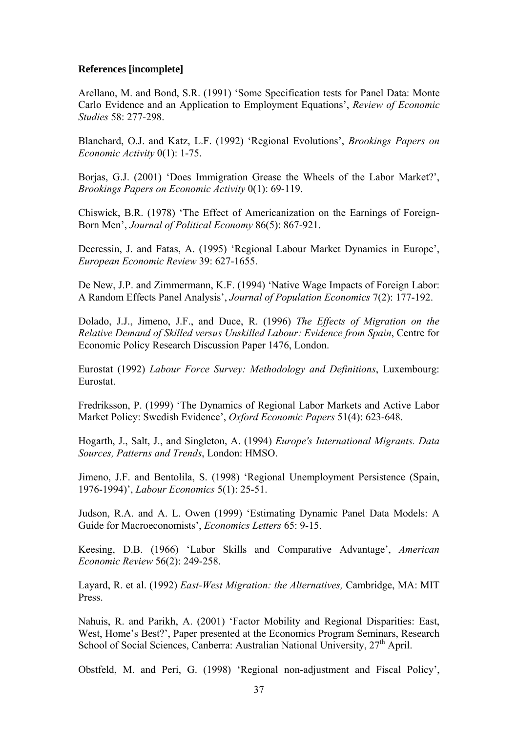# **References [incomplete]**

Arellano, M. and Bond, S.R. (1991) 'Some Specification tests for Panel Data: Monte Carlo Evidence and an Application to Employment Equations', *Review of Economic Studies* 58: 277-298.

Blanchard, O.J. and Katz, L.F. (1992) 'Regional Evolutions', *Brookings Papers on Economic Activity* 0(1): 1-75.

Borias, G.J. (2001) 'Does Immigration Grease the Wheels of the Labor Market?', *Brookings Papers on Economic Activity* 0(1): 69-119.

Chiswick, B.R. (1978) 'The Effect of Americanization on the Earnings of Foreign-Born Men', *Journal of Political Economy* 86(5): 867-921.

Decressin, J. and Fatas, A. (1995) 'Regional Labour Market Dynamics in Europe', *European Economic Review* 39: 627-1655.

De New, J.P. and Zimmermann, K.F. (1994) 'Native Wage Impacts of Foreign Labor: A Random Effects Panel Analysis', *Journal of Population Economics* 7(2): 177-192.

Dolado, J.J., Jimeno, J.F., and Duce, R. (1996) *The Effects of Migration on the Relative Demand of Skilled versus Unskilled Labour: Evidence from Spain*, Centre for Economic Policy Research Discussion Paper 1476, London.

Eurostat (1992) *Labour Force Survey: Methodology and Definitions*, Luxembourg: Eurostat.

Fredriksson, P. (1999) 'The Dynamics of Regional Labor Markets and Active Labor Market Policy: Swedish Evidence', *Oxford Economic Papers* 51(4): 623-648.

Hogarth, J., Salt, J., and Singleton, A. (1994) *Europe's International Migrants. Data Sources, Patterns and Trends*, London: HMSO.

Jimeno, J.F. and Bentolila, S. (1998) 'Regional Unemployment Persistence (Spain, 1976-1994)', *Labour Economics* 5(1): 25-51.

Judson, R.A. and A. L. Owen (1999) 'Estimating Dynamic Panel Data Models: A Guide for Macroeconomists', *Economics Letters* 65: 9-15.

Keesing, D.B. (1966) 'Labor Skills and Comparative Advantage', *American Economic Review* 56(2): 249-258.

Layard, R. et al. (1992) *East-West Migration: the Alternatives,* Cambridge, MA: MIT Press.

Nahuis, R. and Parikh, A. (2001) 'Factor Mobility and Regional Disparities: East, West, Home's Best?', Paper presented at the Economics Program Seminars, Research School of Social Sciences, Canberra: Australian National University,  $27<sup>th</sup>$  April.

Obstfeld, M. and Peri, G. (1998) 'Regional non-adjustment and Fiscal Policy',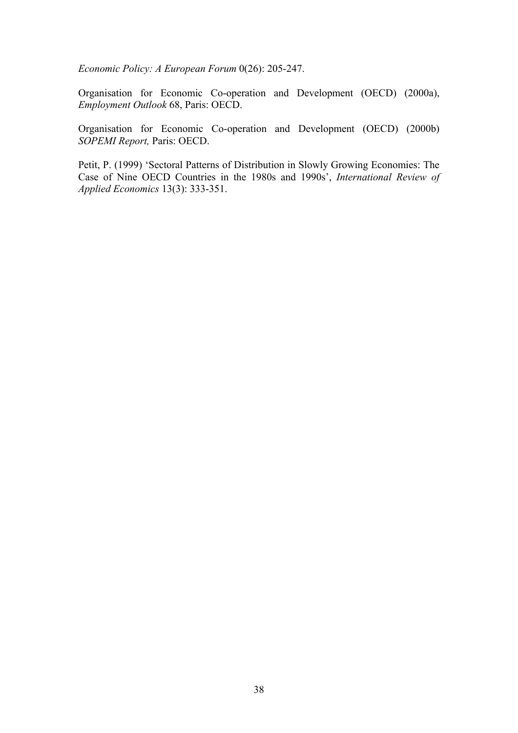*Economic Policy: A European Forum* 0(26): 205-247.

Organisation for Economic Co-operation and Development (OECD) (2000a), *Employment Outlook* 68, Paris: OECD.

Organisation for Economic Co-operation and Development (OECD) (2000b) *SOPEMI Report,* Paris: OECD.

Petit, P. (1999) 'Sectoral Patterns of Distribution in Slowly Growing Economies: The Case of Nine OECD Countries in the 1980s and 1990s', *International Review of Applied Economics* 13(3): 333-351.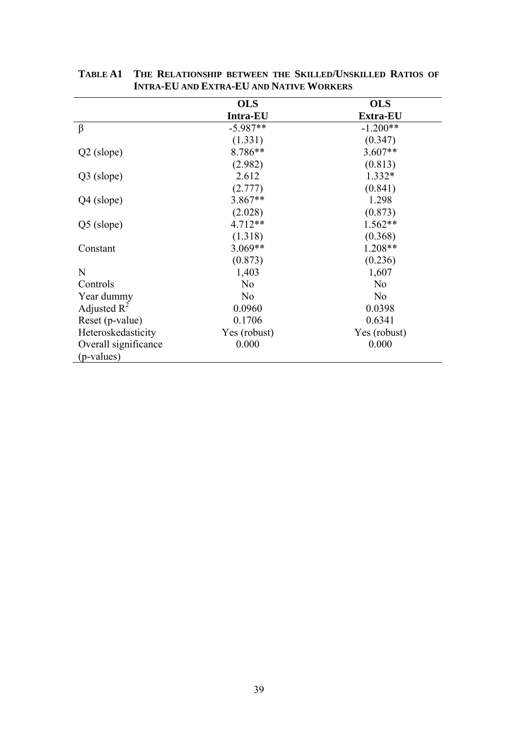|                      | <b>OLS</b>      | <b>OLS</b>     |
|----------------------|-----------------|----------------|
|                      | <b>Intra-EU</b> | Extra-EU       |
| β                    | $-5.987**$      | $-1.200**$     |
|                      | (1.331)         | (0.347)        |
| $Q2$ (slope)         | 8.786**         | $3.607**$      |
|                      | (2.982)         | (0.813)        |
| Q3 (slope)           | 2.612           | $1.332*$       |
|                      | (2.777)         | (0.841)        |
| Q4 (slope)           | 3.867**         | 1.298          |
|                      | (2.028)         | (0.873)        |
| $Q5$ (slope)         | $4.712**$       | 1.562**        |
|                      | (1.318)         | (0.368)        |
| Constant             | $3.069**$       | $1.208**$      |
|                      | (0.873)         | (0.236)        |
| N                    | 1,403           | 1,607          |
| Controls             | N <sub>0</sub>  | N <sub>o</sub> |
| Year dummy           | N <sub>0</sub>  | N <sub>0</sub> |
| Adjusted $R^2$       | 0.0960          | 0.0398         |
| Reset (p-value)      | 0.1706          | 0.6341         |
| Heteroskedasticity   | Yes (robust)    | Yes (robust)   |
| Overall significance | 0.000           | 0.000          |
| (p-values)           |                 |                |

**TABLE A1 THE RELATIONSHIP BETWEEN THE SKILLED/UNSKILLED RATIOS OF INTRA-EU AND EXTRA-EU AND NATIVE WORKERS**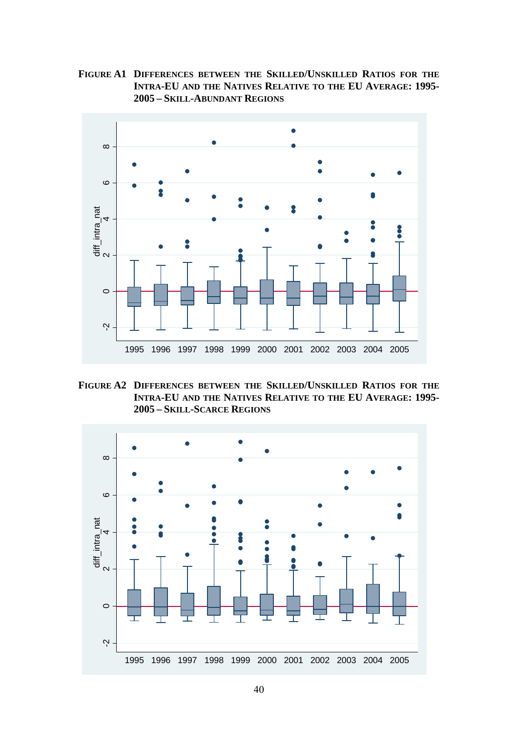**FIGURE A1 DIFFERENCES BETWEEN THE SKILLED/UNSKILLED RATIOS FOR THE INTRA-EU AND THE NATIVES RELATIVE TO THE EU AVERAGE: 1995- 2005 – SKILL-ABUNDANT REGIONS**



**FIGURE A2 DIFFERENCES BETWEEN THE SKILLED/UNSKILLED RATIOS FOR THE INTRA-EU AND THE NATIVES RELATIVE TO THE EU AVERAGE: 1995- 2005 – SKILL-SCARCE REGIONS**